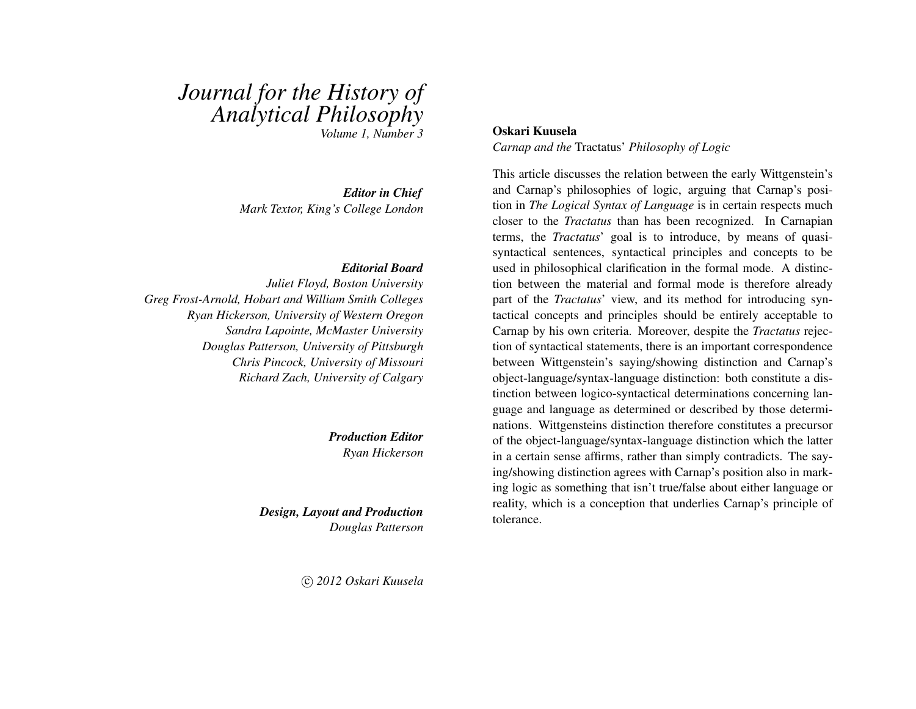# *Journal for the History of Analytical Philosophy*

*Volume 1, Number 3*

*Editor in Chief Mark Textor, King's College London*

#### *Editorial Board*

*Juliet Floyd, Boston University Greg Frost-Arnold, Hobart and William Smith Colleges Ryan Hickerson, University of Western Oregon Sandra Lapointe, McMaster University Douglas Patterson, University of Pittsburgh Chris Pincock, University of Missouri Richard Zach, University of Calgary*

> *Production Editor Ryan Hickerson*

*Design, Layout and Production Douglas Patterson*

c *2012 Oskari Kuusela*

#### Oskari Kuusela

*Carnap and the* Tractatus' *Philosophy of Logic*

This article discusses the relation between the early Wittgenstein's and Carnap's philosophies of logic, arguing that Carnap's position in *The Logical Syntax of Language* is in certain respects much closer to the *Tractatus* than has been recognized. In Carnapian terms, the *Tractatus*' goal is to introduce, by means of quasisyntactical sentences, syntactical principles and concepts to be used in philosophical clarification in the formal mode. A distinction between the material and formal mode is therefore already part of the *Tractatus*' view, and its method for introducing syntactical concepts and principles should be entirely acceptable to Carnap by his own criteria. Moreover, despite the *Tractatus* rejection of syntactical statements, there is an important correspondence between Wittgenstein's saying/showing distinction and Carnap's object-language/syntax-language distinction: both constitute a distinction between logico-syntactical determinations concerning language and language as determined or described by those determinations. Wittgensteins distinction therefore constitutes a precursor of the object-language/syntax-language distinction which the latter in a certain sense affirms, rather than simply contradicts. The saying/showing distinction agrees with Carnap's position also in marking logic as something that isn't true/false about either language or reality, which is a conception that underlies Carnap's principle of tolerance.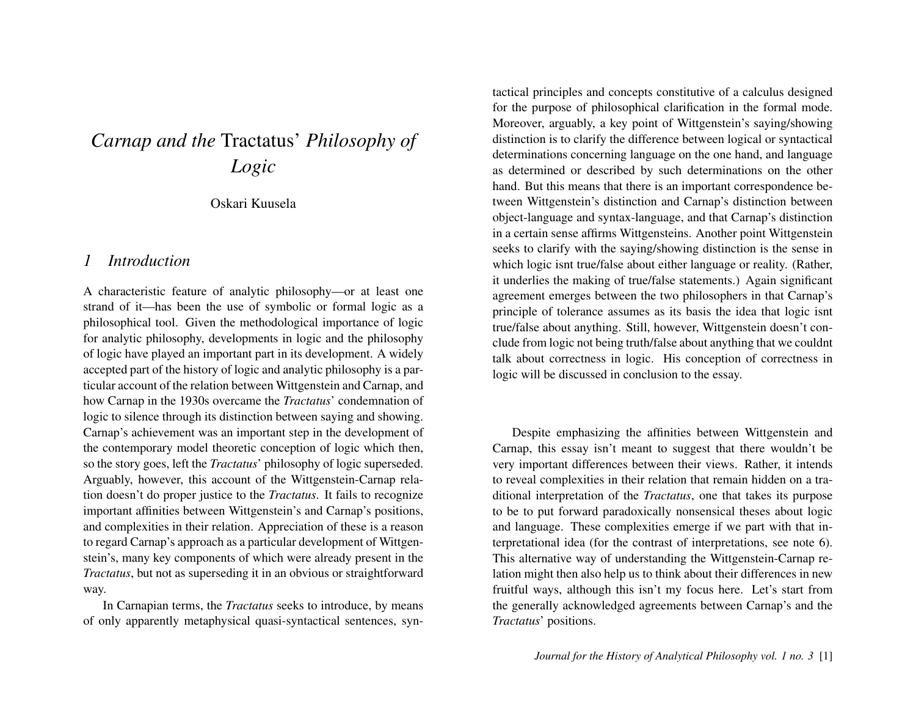## *Carnap and the* Tractatus' *Philosophy of Logic*

Oskari Kuusela

#### *1 Introduction*

A characteristic feature of analytic philosophy—or at least one strand of it—has been the use of symbolic or formal logic as a philosophical tool. Given the methodological importance of logic for analytic philosophy, developments in logic and the philosophy of logic have played an important part in its development. A widely accepted part of the history of logic and analytic philosophy is a particular account of the relation between Wittgenstein and Carnap, and how Carnap in the 1930s overcame the *Tractatus*' condemnation of logic to silence through its distinction between saying and showing. Carnap's achievement was an important step in the development of the contemporary model theoretic conception of logic which then, so the story goes, left the *Tractatus*' philosophy of logic superseded. Arguably, however, this account of the Wittgenstein-Carnap relation doesn't do proper justice to the *Tractatus*. It fails to recognize important affinities between Wittgenstein's and Carnap's positions, and complexities in their relation. Appreciation of these is a reason to regard Carnap's approach as a particular development of Wittgenstein's, many key components of which were already present in the *Tractatus*, but not as superseding it in an obvious or straightforward way.

In Carnapian terms, the *Tractatus* seeks to introduce, by means of only apparently metaphysical quasi-syntactical sentences, syntactical principles and concepts constitutive of a calculus designed for the purpose of philosophical clarification in the formal mode. Moreover, arguably, a key point of Wittgenstein's saying/showing distinction is to clarify the difference between logical or syntactical determinations concerning language on the one hand, and language as determined or described by such determinations on the other hand. But this means that there is an important correspondence between Wittgenstein's distinction and Carnap's distinction between object-language and syntax-language, and that Carnap's distinction in a certain sense affirms Wittgensteins. Another point Wittgenstein seeks to clarify with the saying/showing distinction is the sense in which logic isnt true/false about either language or reality. (Rather, it underlies the making of true/false statements.) Again significant agreement emerges between the two philosophers in that Carnap's principle of tolerance assumes as its basis the idea that logic isnt true/false about anything. Still, however, Wittgenstein doesn't conclude from logic not being truth/false about anything that we couldnt talk about correctness in logic. His conception of correctness in logic will be discussed in conclusion to the essay.

Despite emphasizing the affinities between Wittgenstein and Carnap, this essay isn't meant to suggest that there wouldn't be very important differences between their views. Rather, it intends to reveal complexities in their relation that remain hidden on a traditional interpretation of the *Tractatus*, one that takes its purpose to be to put forward paradoxically nonsensical theses about logic and language. These complexities emerge if we part with that interpretational idea (for the contrast of interpretations, see note 6). This alternative way of understanding the Wittgenstein-Carnap relation might then also help us to think about their differences in new fruitful ways, although this isn't my focus here. Let's start from the generally acknowledged agreements between Carnap's and the *Tractatus*' positions.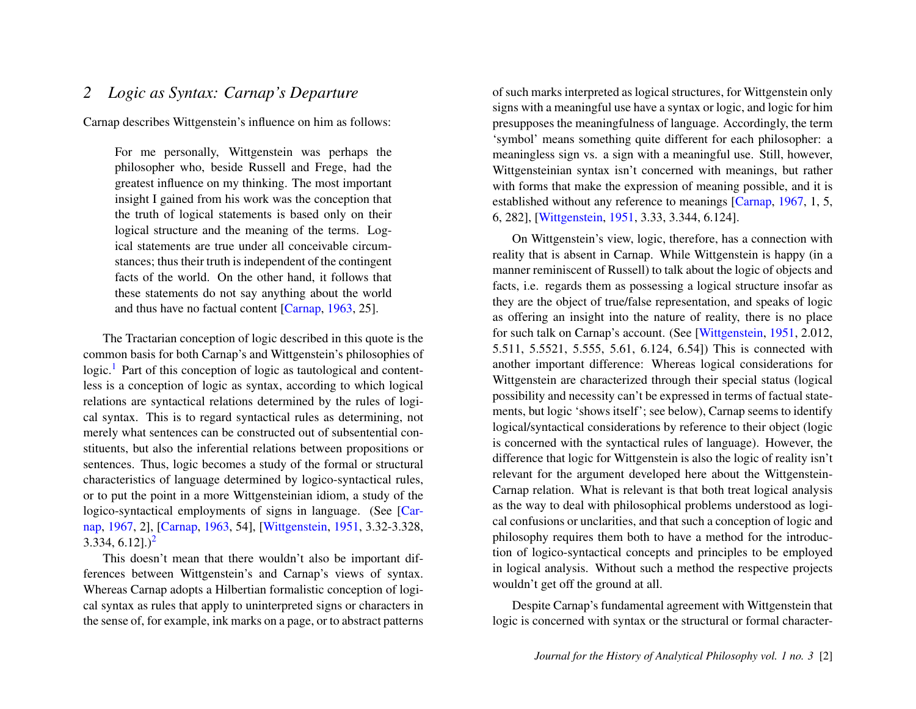## *2 Logic as Syntax: Carnap's Departure*

Carnap describes Wittgenstein's influence on him as follows:

For me personally, Wittgenstein was perhaps the philosopher who, beside Russell and Frege, had the greatest influence on my thinking. The most important insight I gained from his work was the conception that the truth of logical statements is based only on their logical structure and the meaning of the terms. Logical statements are true under all conceivable circumstances; thus their truth is independent of the contingent facts of the world. On the other hand, it follows that these statements do not say anything about the world and thus have no factual content [\[Carnap,](#page-24-0) [1963,](#page-24-0) 25].

<span id="page-2-0"></span>The Tractarian conception of logic described in this quote is the common basis for both Carnap's and Wittgenstein's philosophies of logic.<sup>[1](#page-20-0)</sup> Part of this conception of logic as tautological and contentless is a conception of logic as syntax, according to which logical relations are syntactical relations determined by the rules of logical syntax. This is to regard syntactical rules as determining, not merely what sentences can be constructed out of subsentential constituents, but also the inferential relations between propositions or sentences. Thus, logic becomes a study of the formal or structural characteristics of language determined by logico-syntactical rules, or to put the point in a more Wittgensteinian idiom, a study of the logico-syntactical employments of signs in language. (See [\[Car](#page-24-1)[nap,](#page-24-1) [1967,](#page-24-1) 2], [\[Carnap,](#page-24-0) [1963,](#page-24-0) 54], [\[Wittgenstein,](#page-24-2) [1951,](#page-24-2) 3.32-3.328,  $3.334, 6.12$  $3.334, 6.12$ ].)<sup>2</sup>

<span id="page-2-1"></span>This doesn't mean that there wouldn't also be important differences between Wittgenstein's and Carnap's views of syntax. Whereas Carnap adopts a Hilbertian formalistic conception of logical syntax as rules that apply to uninterpreted signs or characters in the sense of, for example, ink marks on a page, or to abstract patterns of such marks interpreted as logical structures, for Wittgenstein only signs with a meaningful use have a syntax or logic, and logic for him presupposes the meaningfulness of language. Accordingly, the term 'symbol' means something quite different for each philosopher: a meaningless sign vs. a sign with a meaningful use. Still, however, Wittgensteinian syntax isn't concerned with meanings, but rather with forms that make the expression of meaning possible, and it is established without any reference to meanings [\[Carnap,](#page-24-1) [1967,](#page-24-1) 1, 5, 6, 282], [\[Wittgenstein,](#page-24-2) [1951,](#page-24-2) 3.33, 3.344, 6.124].

On Wittgenstein's view, logic, therefore, has a connection with reality that is absent in Carnap. While Wittgenstein is happy (in a manner reminiscent of Russell) to talk about the logic of objects and facts, i.e. regards them as possessing a logical structure insofar as they are the object of true/false representation, and speaks of logic as offering an insight into the nature of reality, there is no place for such talk on Carnap's account. (See [\[Wittgenstein,](#page-24-2) [1951,](#page-24-2) 2.012, 5.511, 5.5521, 5.555, 5.61, 6.124, 6.54]) This is connected with another important difference: Whereas logical considerations for Wittgenstein are characterized through their special status (logical possibility and necessity can't be expressed in terms of factual statements, but logic 'shows itself'; see below), Carnap seems to identify logical/syntactical considerations by reference to their object (logic is concerned with the syntactical rules of language). However, the difference that logic for Wittgenstein is also the logic of reality isn't relevant for the argument developed here about the Wittgenstein-Carnap relation. What is relevant is that both treat logical analysis as the way to deal with philosophical problems understood as logical confusions or unclarities, and that such a conception of logic and philosophy requires them both to have a method for the introduction of logico-syntactical concepts and principles to be employed in logical analysis. Without such a method the respective projects wouldn't get off the ground at all.

Despite Carnap's fundamental agreement with Wittgenstein that logic is concerned with syntax or the structural or formal character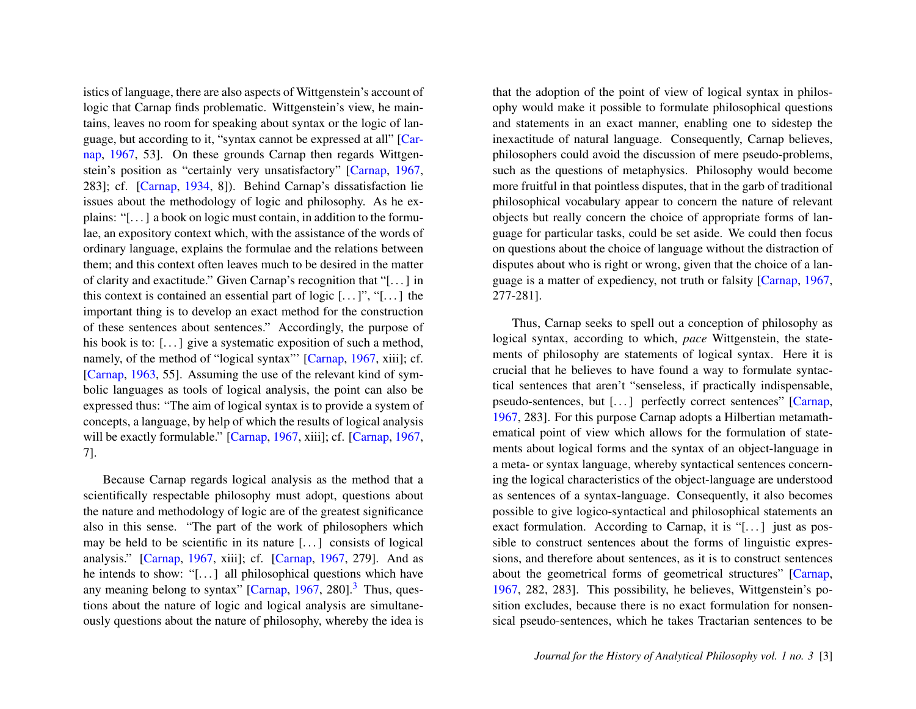istics of language, there are also aspects of Wittgenstein's account of logic that Carnap finds problematic. Wittgenstein's view, he maintains, leaves no room for speaking about syntax or the logic of language, but according to it, "syntax cannot be expressed at all" [\[Car](#page-24-1)[nap,](#page-24-1) [1967,](#page-24-1) 53]. On these grounds Carnap then regards Wittgenstein's position as "certainly very unsatisfactory" [\[Carnap,](#page-24-1) [1967,](#page-24-1) 283]; cf. [\[Carnap,](#page-24-3) [1934,](#page-24-3) 8]). Behind Carnap's dissatisfaction lie issues about the methodology of logic and philosophy. As he explains: "[. . . ] a book on logic must contain, in addition to the formulae, an expository context which, with the assistance of the words of ordinary language, explains the formulae and the relations between them; and this context often leaves much to be desired in the matter of clarity and exactitude." Given Carnap's recognition that "[. . . ] in this context is contained an essential part of logic  $[\dots]$ ", "[ $\dots$ ] the important thing is to develop an exact method for the construction of these sentences about sentences." Accordingly, the purpose of his book is to: [...] give a systematic exposition of such a method, namely, of the method of "logical syntax"' [\[Carnap,](#page-24-1) [1967,](#page-24-1) xiii]; cf. [\[Carnap,](#page-24-0) [1963,](#page-24-0) 55]. Assuming the use of the relevant kind of symbolic languages as tools of logical analysis, the point can also be expressed thus: "The aim of logical syntax is to provide a system of concepts, a language, by help of which the results of logical analysis will be exactly formulable." [\[Carnap,](#page-24-1) [1967,](#page-24-1) xiii]; cf. [Carnap, 1967, 7].

<span id="page-3-0"></span>Because Carnap regards logical analysis as the method that a scientifically respectable philosophy must adopt, questions about the nature and methodology of logic are of the greatest significance also in this sense. "The part of the work of philosophers which may be held to be scientific in its nature [. . . ] consists of logical analysis." [\[Carnap,](#page-24-1) [1967,](#page-24-1) xiii]; cf. [\[Carnap,](#page-24-1) [1967,](#page-24-1) 279]. And as he intends to show: "[...] all philosophical questions which have any meaning belong to syntax"  $[Carnap, 1967, 280]$  $[Carnap, 1967, 280]$  $[Carnap, 1967, 280]$  $[Carnap, 1967, 280]$ <sup>[3](#page-20-2)</sup> Thus, questions about the nature of logic and logical analysis are simultaneously questions about the nature of philosophy, whereby the idea is

that the adoption of the point of view of logical syntax in philosophy would make it possible to formulate philosophical questions and statements in an exact manner, enabling one to sidestep the inexactitude of natural language. Consequently, Carnap believes, philosophers could avoid the discussion of mere pseudo-problems, such as the questions of metaphysics. Philosophy would become more fruitful in that pointless disputes, that in the garb of traditional philosophical vocabulary appear to concern the nature of relevant objects but really concern the choice of appropriate forms of language for particular tasks, could be set aside. We could then focus on questions about the choice of language without the distraction of disputes about who is right or wrong, given that the choice of a language is a matter of expediency, not truth or falsity [\[Carnap,](#page-24-1) [1967,](#page-24-1) 277-281].

Thus, Carnap seeks to spell out a conception of philosophy as logical syntax, according to which, *pace* Wittgenstein, the statements of philosophy are statements of logical syntax. Here it is crucial that he believes to have found a way to formulate syntactical sentences that aren't "senseless, if practically indispensable, pseudo-sentences, but [. . . ] perfectly correct sentences" [\[Carnap,](#page-24-1) [1967,](#page-24-1) 283]. For this purpose Carnap adopts a Hilbertian metamathematical point of view which allows for the formulation of statements about logical forms and the syntax of an object-language in a meta- or syntax language, whereby syntactical sentences concerning the logical characteristics of the object-language are understood as sentences of a syntax-language. Consequently, it also becomes possible to give logico-syntactical and philosophical statements an exact formulation. According to Carnap, it is "[ $\dots$ ] just as possible to construct sentences about the forms of linguistic expressions, and therefore about sentences, as it is to construct sentences about the geometrical forms of geometrical structures" [\[Carnap,](#page-24-1) [1967,](#page-24-1) 282, 283]. This possibility, he believes, Wittgenstein's position excludes, because there is no exact formulation for nonsensical pseudo-sentences, which he takes Tractarian sentences to be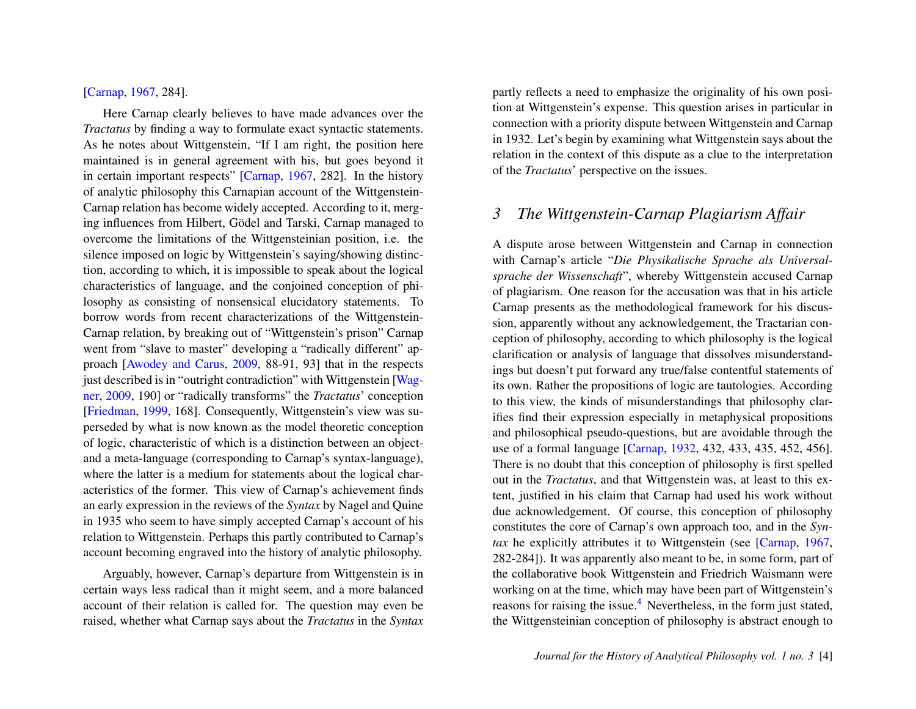#### [\[Carnap,](#page-24-1) [1967,](#page-24-1) 284].

Here Carnap clearly believes to have made advances over the *Tractatus* by finding a way to formulate exact syntactic statements. As he notes about Wittgenstein, "If I am right, the position here maintained is in general agreement with his, but goes beyond it in certain important respects" [\[Carnap,](#page-24-1) [1967,](#page-24-1) 282]. In the history of analytic philosophy this Carnapian account of the Wittgenstein-Carnap relation has become widely accepted. According to it, merging influences from Hilbert, Gödel and Tarski, Carnap managed to overcome the limitations of the Wittgensteinian position, i.e. the silence imposed on logic by Wittgenstein's saying/showing distinction, according to which, it is impossible to speak about the logical characteristics of language, and the conjoined conception of philosophy as consisting of nonsensical elucidatory statements. To borrow words from recent characterizations of the Wittgenstein-Carnap relation, by breaking out of "Wittgenstein's prison" Carnap went from "slave to master" developing a "radically different" approach [\[Awodey and Carus,](#page-24-4) [2009,](#page-24-4) 88-91, 93] that in the respects just described is in "outright contradiction" with Wittgenstein [\[Wag](#page-24-5)[ner,](#page-24-5) [2009,](#page-24-5) 190] or "radically transforms" the *Tractatus*' conception [\[Friedman,](#page-24-6) [1999,](#page-24-6) 168]. Consequently, Wittgenstein's view was superseded by what is now known as the model theoretic conception of logic, characteristic of which is a distinction between an objectand a meta-language (corresponding to Carnap's syntax-language), where the latter is a medium for statements about the logical characteristics of the former. This view of Carnap's achievement finds an early expression in the reviews of the *Syntax* by Nagel and Quine in 1935 who seem to have simply accepted Carnap's account of his relation to Wittgenstein. Perhaps this partly contributed to Carnap's account becoming engraved into the history of analytic philosophy.

Arguably, however, Carnap's departure from Wittgenstein is in certain ways less radical than it might seem, and a more balanced account of their relation is called for. The question may even be raised, whether what Carnap says about the *Tractatus* in the *Syntax* partly reflects a need to emphasize the originality of his own position at Wittgenstein's expense. This question arises in particular in connection with a priority dispute between Wittgenstein and Carnap in 1932. Let's begin by examining what Wittgenstein says about the relation in the context of this dispute as a clue to the interpretation of the *Tractatus*' perspective on the issues.

#### *3 The Wittgenstein-Carnap Plagiarism Affair*

<span id="page-4-0"></span>A dispute arose between Wittgenstein and Carnap in connection with Carnap's article "*Die Physikalische Sprache als Universalsprache der Wissenschaft*", whereby Wittgenstein accused Carnap of plagiarism. One reason for the accusation was that in his article Carnap presents as the methodological framework for his discussion, apparently without any acknowledgement, the Tractarian conception of philosophy, according to which philosophy is the logical clarification or analysis of language that dissolves misunderstandings but doesn't put forward any true/false contentful statements of its own. Rather the propositions of logic are tautologies. According to this view, the kinds of misunderstandings that philosophy clarifies find their expression especially in metaphysical propositions and philosophical pseudo-questions, but are avoidable through the use of a formal language [\[Carnap,](#page-24-7) [1932,](#page-24-7) 432, 433, 435, 452, 456]. There is no doubt that this conception of philosophy is first spelled out in the *Tractatus*, and that Wittgenstein was, at least to this extent, justified in his claim that Carnap had used his work without due acknowledgement. Of course, this conception of philosophy constitutes the core of Carnap's own approach too, and in the *Syntax* he explicitly attributes it to Wittgenstein (see [\[Carnap,](#page-24-1) [1967,](#page-24-1) 282-284]). It was apparently also meant to be, in some form, part of the collaborative book Wittgenstein and Friedrich Waismann were working on at the time, which may have been part of Wittgenstein's reasons for raising the issue.<sup>[4](#page-20-3)</sup> Nevertheless, in the form just stated, the Wittgensteinian conception of philosophy is abstract enough to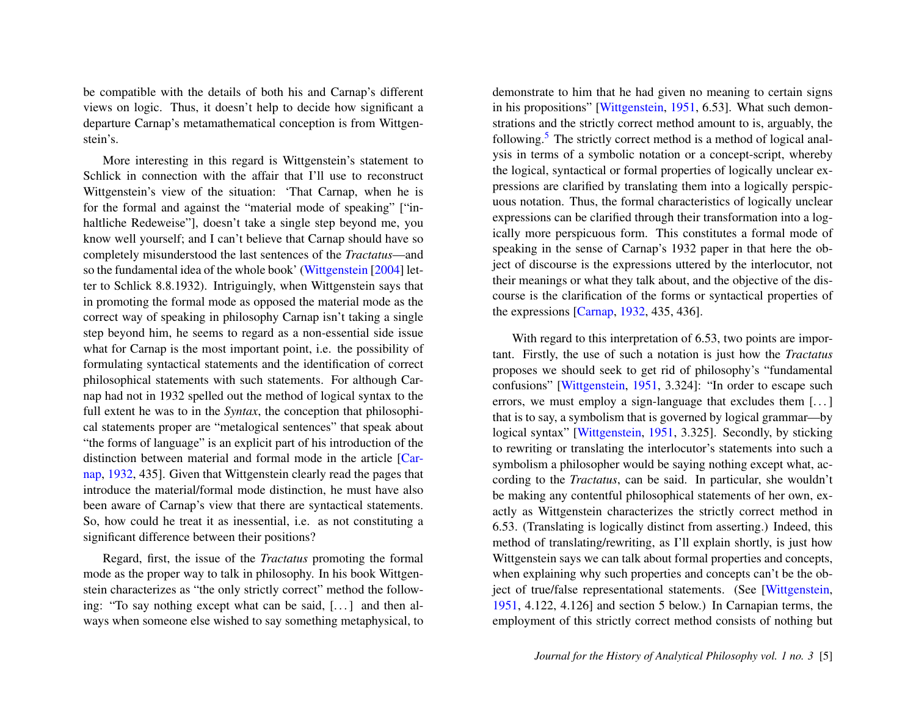be compatible with the details of both his and Carnap's different views on logic. Thus, it doesn't help to decide how significant a departure Carnap's metamathematical conception is from Wittgenstein's.

More interesting in this regard is Wittgenstein's statement to Schlick in connection with the affair that I'll use to reconstruct Wittgenstein's view of the situation: 'That Carnap, when he is for the formal and against the "material mode of speaking" ["inhaltliche Redeweise"], doesn't take a single step beyond me, you know well yourself; and I can't believe that Carnap should have so completely misunderstood the last sentences of the *Tractatus*—and so the fundamental idea of the whole book' [\(Wittgenstein](#page-25-0) [\[2004\]](#page-25-0) letter to Schlick 8.8.1932). Intriguingly, when Wittgenstein says that in promoting the formal mode as opposed the material mode as the correct way of speaking in philosophy Carnap isn't taking a single step beyond him, he seems to regard as a non-essential side issue what for Carnap is the most important point, i.e. the possibility of formulating syntactical statements and the identification of correct philosophical statements with such statements. For although Carnap had not in 1932 spelled out the method of logical syntax to the full extent he was to in the *Syntax*, the conception that philosophical statements proper are "metalogical sentences" that speak about "the forms of language" is an explicit part of his introduction of the distinction between material and formal mode in the article [\[Car](#page-24-7)[nap,](#page-24-7) [1932,](#page-24-7) 435]. Given that Wittgenstein clearly read the pages that introduce the material/formal mode distinction, he must have also been aware of Carnap's view that there are syntactical statements. So, how could he treat it as inessential, i.e. as not constituting a significant difference between their positions?

Regard, first, the issue of the *Tractatus* promoting the formal mode as the proper way to talk in philosophy. In his book Wittgenstein characterizes as "the only strictly correct" method the following: "To say nothing except what can be said, [...] and then always when someone else wished to say something metaphysical, to <span id="page-5-0"></span>demonstrate to him that he had given no meaning to certain signs in his propositions" [\[Wittgenstein,](#page-24-2) [1951,](#page-24-2) 6.53]. What such demonstrations and the strictly correct method amount to is, arguably, the following.<sup>[5](#page-21-0)</sup> The strictly correct method is a method of logical analysis in terms of a symbolic notation or a concept-script, whereby the logical, syntactical or formal properties of logically unclear expressions are clarified by translating them into a logically perspicuous notation. Thus, the formal characteristics of logically unclear expressions can be clarified through their transformation into a logically more perspicuous form. This constitutes a formal mode of speaking in the sense of Carnap's 1932 paper in that here the object of discourse is the expressions uttered by the interlocutor, not their meanings or what they talk about, and the objective of the discourse is the clarification of the forms or syntactical properties of the expressions [\[Carnap,](#page-24-7) [1932,](#page-24-7) 435, 436].

With regard to this interpretation of 6.53, two points are important. Firstly, the use of such a notation is just how the *Tractatus* proposes we should seek to get rid of philosophy's "fundamental confusions" [\[Wittgenstein,](#page-24-2) [1951,](#page-24-2) 3.324]: "In order to escape such errors, we must employ a sign-language that excludes them [...] that is to say, a symbolism that is governed by logical grammar—by logical syntax" [\[Wittgenstein,](#page-24-2) [1951,](#page-24-2) 3.325]. Secondly, by sticking to rewriting or translating the interlocutor's statements into such a symbolism a philosopher would be saying nothing except what, according to the *Tractatus*, can be said. In particular, she wouldn't be making any contentful philosophical statements of her own, exactly as Wittgenstein characterizes the strictly correct method in 6.53. (Translating is logically distinct from asserting.) Indeed, this method of translating/rewriting, as I'll explain shortly, is just how Wittgenstein says we can talk about formal properties and concepts, when explaining why such properties and concepts can't be the object of true/false representational statements. (See [\[Wittgenstein,](#page-24-2) [1951,](#page-24-2) 4.122, 4.126] and section 5 below.) In Carnapian terms, the employment of this strictly correct method consists of nothing but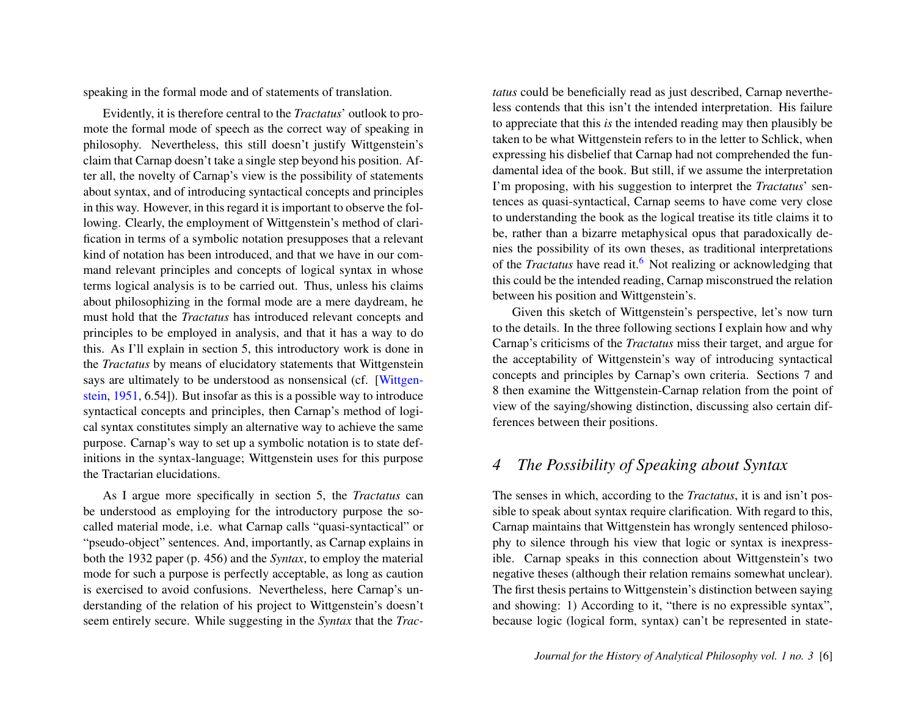speaking in the formal mode and of statements of translation.

Evidently, it is therefore central to the *Tractatus*' outlook to promote the formal mode of speech as the correct way of speaking in philosophy. Nevertheless, this still doesn't justify Wittgenstein's claim that Carnap doesn't take a single step beyond his position. After all, the novelty of Carnap's view is the possibility of statements about syntax, and of introducing syntactical concepts and principles in this way. However, in this regard it is important to observe the following. Clearly, the employment of Wittgenstein's method of clarification in terms of a symbolic notation presupposes that a relevant kind of notation has been introduced, and that we have in our command relevant principles and concepts of logical syntax in whose terms logical analysis is to be carried out. Thus, unless his claims about philosophizing in the formal mode are a mere daydream, he must hold that the *Tractatus* has introduced relevant concepts and principles to be employed in analysis, and that it has a way to do this. As I'll explain in section 5, this introductory work is done in the *Tractatus* by means of elucidatory statements that Wittgenstein says are ultimately to be understood as nonsensical (cf. [\[Wittgen](#page-24-2)[stein,](#page-24-2) [1951,](#page-24-2) 6.54]). But insofar as this is a possible way to introduce syntactical concepts and principles, then Carnap's method of logical syntax constitutes simply an alternative way to achieve the same purpose. Carnap's way to set up a symbolic notation is to state definitions in the syntax-language; Wittgenstein uses for this purpose the Tractarian elucidations.

As I argue more specifically in section 5, the *Tractatus* can be understood as employing for the introductory purpose the socalled material mode, i.e. what Carnap calls "quasi-syntactical" or "pseudo-object" sentences. And, importantly, as Carnap explains in both the 1932 paper (p. 456) and the *Syntax*, to employ the material mode for such a purpose is perfectly acceptable, as long as caution is exercised to avoid confusions. Nevertheless, here Carnap's understanding of the relation of his project to Wittgenstein's doesn't seem entirely secure. While suggesting in the *Syntax* that the *Trac-* *tatus* could be beneficially read as just described, Carnap nevertheless contends that this isn't the intended interpretation. His failure to appreciate that this *is* the intended reading may then plausibly be taken to be what Wittgenstein refers to in the letter to Schlick, when expressing his disbelief that Carnap had not comprehended the fundamental idea of the book. But still, if we assume the interpretation I'm proposing, with his suggestion to interpret the *Tractatus*' sentences as quasi-syntactical, Carnap seems to have come very close to understanding the book as the logical treatise its title claims it to be, rather than a bizarre metaphysical opus that paradoxically denies the possibility of its own theses, as traditional interpretations of the *Tractatus* have read it.[6](#page-21-1) Not realizing or acknowledging that this could be the intended reading, Carnap misconstrued the relation between his position and Wittgenstein's.

<span id="page-6-0"></span>Given this sketch of Wittgenstein's perspective, let's now turn to the details. In the three following sections I explain how and why Carnap's criticisms of the *Tractatus* miss their target, and argue for the acceptability of Wittgenstein's way of introducing syntactical concepts and principles by Carnap's own criteria. Sections 7 and 8 then examine the Wittgenstein-Carnap relation from the point of view of the saying/showing distinction, discussing also certain differences between their positions.

#### *4 The Possibility of Speaking about Syntax*

The senses in which, according to the *Tractatus*, it is and isn't possible to speak about syntax require clarification. With regard to this, Carnap maintains that Wittgenstein has wrongly sentenced philosophy to silence through his view that logic or syntax is inexpressible. Carnap speaks in this connection about Wittgenstein's two negative theses (although their relation remains somewhat unclear). The first thesis pertains to Wittgenstein's distinction between saying and showing: 1) According to it, "there is no expressible syntax", because logic (logical form, syntax) can't be represented in state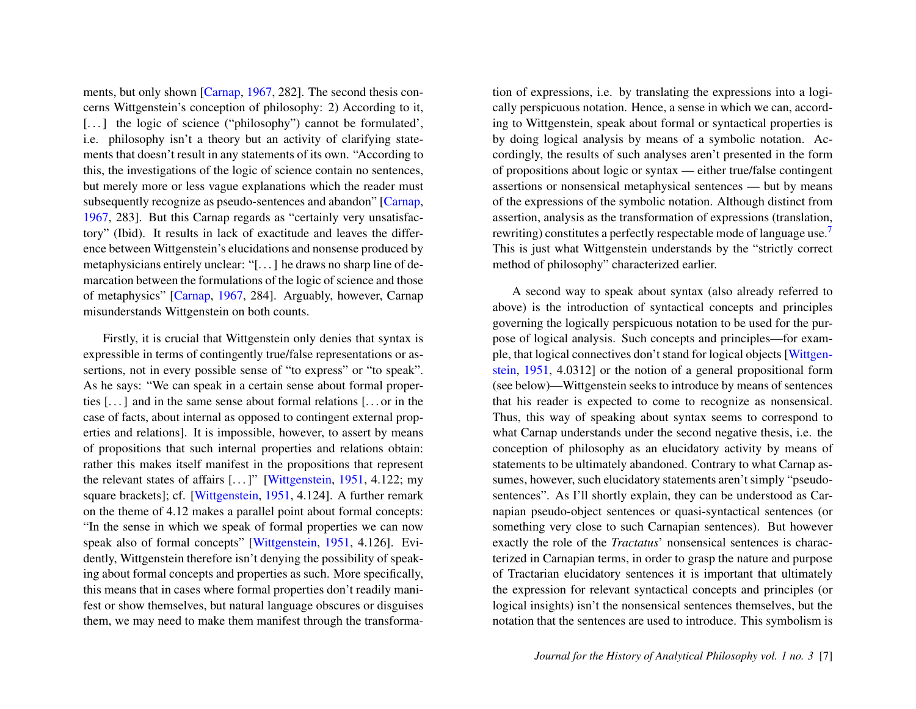ments, but only shown [\[Carnap,](#page-24-1) [1967,](#page-24-1) 282]. The second thesis concerns Wittgenstein's conception of philosophy: 2) According to it, [...] the logic of science ("philosophy") cannot be formulated', i.e. philosophy isn't a theory but an activity of clarifying statements that doesn't result in any statements of its own. "According to this, the investigations of the logic of science contain no sentences, but merely more or less vague explanations which the reader must subsequently recognize as pseudo-sentences and abandon" [\[Carnap,](#page-24-1) [1967,](#page-24-1) 283]. But this Carnap regards as "certainly very unsatisfactory" (Ibid). It results in lack of exactitude and leaves the difference between Wittgenstein's elucidations and nonsense produced by metaphysicians entirely unclear: "[. . . ] he draws no sharp line of demarcation between the formulations of the logic of science and those of metaphysics" [\[Carnap,](#page-24-1) [1967,](#page-24-1) 284]. Arguably, however, Carnap misunderstands Wittgenstein on both counts.

Firstly, it is crucial that Wittgenstein only denies that syntax is expressible in terms of contingently true/false representations or assertions, not in every possible sense of "to express" or "to speak". As he says: "We can speak in a certain sense about formal properties [. . . ] and in the same sense about formal relations [. . . or in the case of facts, about internal as opposed to contingent external properties and relations]. It is impossible, however, to assert by means of propositions that such internal properties and relations obtain: rather this makes itself manifest in the propositions that represent the relevant states of affairs  $[...]'$  [\[Wittgenstein,](#page-24-2) [1951,](#page-24-2) 4.122; my square brackets]; cf. [\[Wittgenstein,](#page-24-2) [1951,](#page-24-2) 4.124]. A further remark on the theme of 4.12 makes a parallel point about formal concepts: "In the sense in which we speak of formal properties we can now speak also of formal concepts" [\[Wittgenstein,](#page-24-2) [1951,](#page-24-2) 4.126]. Evidently, Wittgenstein therefore isn't denying the possibility of speaking about formal concepts and properties as such. More specifically, this means that in cases where formal properties don't readily manifest or show themselves, but natural language obscures or disguises them, we may need to make them manifest through the transformation of expressions, i.e. by translating the expressions into a logically perspicuous notation. Hence, a sense in which we can, according to Wittgenstein, speak about formal or syntactical properties is by doing logical analysis by means of a symbolic notation. Accordingly, the results of such analyses aren't presented in the form of propositions about logic or syntax — either true/false contingent assertions or nonsensical metaphysical sentences — but by means of the expressions of the symbolic notation. Although distinct from assertion, analysis as the transformation of expressions (translation, rewriting) constitutes a perfectly respectable mode of language use.[7](#page-21-2) This is just what Wittgenstein understands by the "strictly correct method of philosophy" characterized earlier.

<span id="page-7-0"></span>A second way to speak about syntax (also already referred to above) is the introduction of syntactical concepts and principles governing the logically perspicuous notation to be used for the purpose of logical analysis. Such concepts and principles—for example, that logical connectives don't stand for logical objects [\[Wittgen](#page-24-2)[stein,](#page-24-2) [1951,](#page-24-2) 4.0312] or the notion of a general propositional form (see below)—Wittgenstein seeks to introduce by means of sentences that his reader is expected to come to recognize as nonsensical. Thus, this way of speaking about syntax seems to correspond to what Carnap understands under the second negative thesis, i.e. the conception of philosophy as an elucidatory activity by means of statements to be ultimately abandoned. Contrary to what Carnap assumes, however, such elucidatory statements aren't simply "pseudosentences". As I'll shortly explain, they can be understood as Carnapian pseudo-object sentences or quasi-syntactical sentences (or something very close to such Carnapian sentences). But however exactly the role of the *Tractatus*' nonsensical sentences is characterized in Carnapian terms, in order to grasp the nature and purpose of Tractarian elucidatory sentences it is important that ultimately the expression for relevant syntactical concepts and principles (or logical insights) isn't the nonsensical sentences themselves, but the notation that the sentences are used to introduce. This symbolism is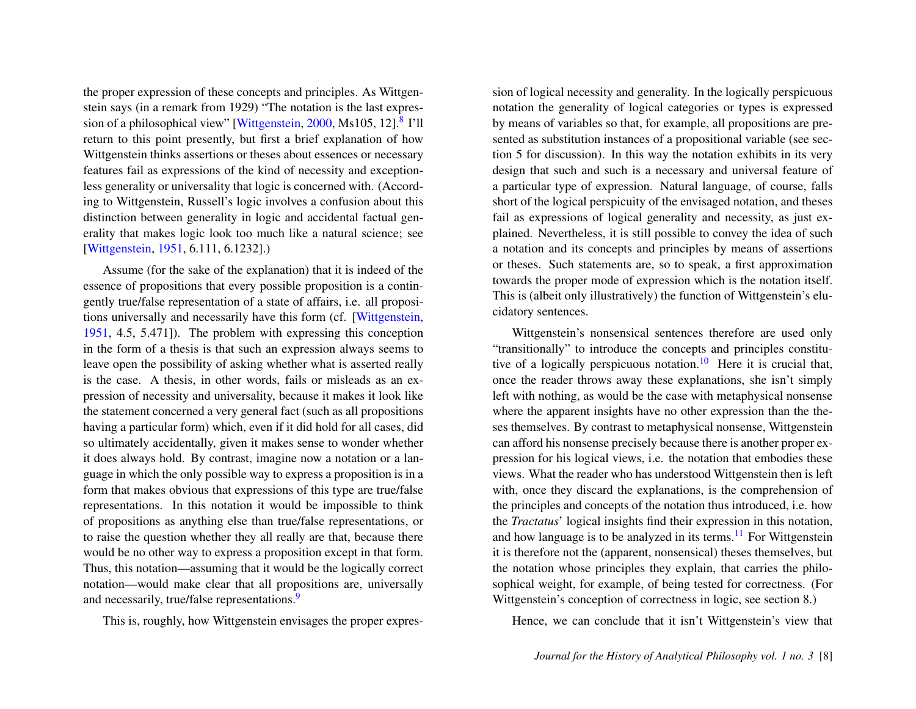the proper expression of these concepts and principles. As Wittgenstein says (in a remark from 1929) "The notation is the last expres-sion of a philosophical view" [\[Wittgenstein,](#page-25-1) [2000,](#page-25-1) Ms105, 12].<sup>[8](#page-21-3)</sup> I'll return to this point presently, but first a brief explanation of how Wittgenstein thinks assertions or theses about essences or necessary features fail as expressions of the kind of necessity and exceptionless generality or universality that logic is concerned with. (According to Wittgenstein, Russell's logic involves a confusion about this distinction between generality in logic and accidental factual generality that makes logic look too much like a natural science; see [\[Wittgenstein,](#page-24-2) [1951,](#page-24-2) 6.111, 6.1232].)

Assume (for the sake of the explanation) that it is indeed of the essence of propositions that every possible proposition is a contingently true/false representation of a state of affairs, i.e. all propositions universally and necessarily have this form (cf. [\[Wittgenstein,](#page-24-2) [1951,](#page-24-2) 4.5, 5.471]). The problem with expressing this conception in the form of a thesis is that such an expression always seems to leave open the possibility of asking whether what is asserted really is the case. A thesis, in other words, fails or misleads as an expression of necessity and universality, because it makes it look like the statement concerned a very general fact (such as all propositions having a particular form) which, even if it did hold for all cases, did so ultimately accidentally, given it makes sense to wonder whether it does always hold. By contrast, imagine now a notation or a language in which the only possible way to express a proposition is in a form that makes obvious that expressions of this type are true/false representations. In this notation it would be impossible to think of propositions as anything else than true/false representations, or to raise the question whether they all really are that, because there would be no other way to express a proposition except in that form. Thus, this notation—assuming that it would be the logically correct notation—would make clear that all propositions are, universally and necessarily, true/false representations.<sup>[9](#page-21-4)</sup>

<span id="page-8-1"></span>This is, roughly, how Wittgenstein envisages the proper expres-

<span id="page-8-0"></span>sion of logical necessity and generality. In the logically perspicuous notation the generality of logical categories or types is expressed by means of variables so that, for example, all propositions are presented as substitution instances of a propositional variable (see section 5 for discussion). In this way the notation exhibits in its very design that such and such is a necessary and universal feature of a particular type of expression. Natural language, of course, falls short of the logical perspicuity of the envisaged notation, and theses fail as expressions of logical generality and necessity, as just explained. Nevertheless, it is still possible to convey the idea of such a notation and its concepts and principles by means of assertions or theses. Such statements are, so to speak, a first approximation towards the proper mode of expression which is the notation itself. This is (albeit only illustratively) the function of Wittgenstein's elucidatory sentences.

<span id="page-8-2"></span>Wittgenstein's nonsensical sentences therefore are used only "transitionally" to introduce the concepts and principles constitu-tive of a logically perspicuous notation.<sup>[10](#page-21-5)</sup> Here it is crucial that, once the reader throws away these explanations, she isn't simply left with nothing, as would be the case with metaphysical nonsense where the apparent insights have no other expression than the theses themselves. By contrast to metaphysical nonsense, Wittgenstein can afford his nonsense precisely because there is another proper expression for his logical views, i.e. the notation that embodies these views. What the reader who has understood Wittgenstein then is left with, once they discard the explanations, is the comprehension of the principles and concepts of the notation thus introduced, i.e. how the *Tractatus*' logical insights find their expression in this notation, and how language is to be analyzed in its terms.<sup>[11](#page-21-6)</sup> For Wittgenstein it is therefore not the (apparent, nonsensical) theses themselves, but the notation whose principles they explain, that carries the philosophical weight, for example, of being tested for correctness. (For Wittgenstein's conception of correctness in logic, see section 8.)

<span id="page-8-3"></span>Hence, we can conclude that it isn't Wittgenstein's view that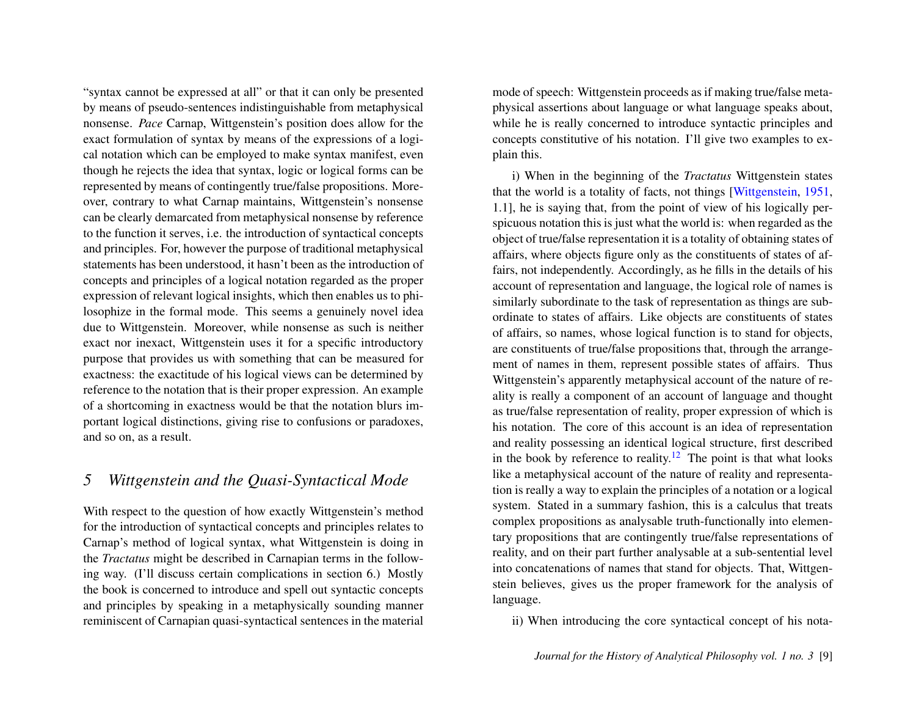"syntax cannot be expressed at all" or that it can only be presented by means of pseudo-sentences indistinguishable from metaphysical nonsense. *Pace* Carnap, Wittgenstein's position does allow for the exact formulation of syntax by means of the expressions of a logical notation which can be employed to make syntax manifest, even though he rejects the idea that syntax, logic or logical forms can be represented by means of contingently true/false propositions. Moreover, contrary to what Carnap maintains, Wittgenstein's nonsense can be clearly demarcated from metaphysical nonsense by reference to the function it serves, i.e. the introduction of syntactical concepts and principles. For, however the purpose of traditional metaphysical statements has been understood, it hasn't been as the introduction of concepts and principles of a logical notation regarded as the proper expression of relevant logical insights, which then enables us to philosophize in the formal mode. This seems a genuinely novel idea due to Wittgenstein. Moreover, while nonsense as such is neither exact nor inexact, Wittgenstein uses it for a specific introductory purpose that provides us with something that can be measured for exactness: the exactitude of his logical views can be determined by reference to the notation that is their proper expression. An example of a shortcoming in exactness would be that the notation blurs important logical distinctions, giving rise to confusions or paradoxes, and so on, as a result.

#### *5 Wittgenstein and the Quasi-Syntactical Mode*

With respect to the question of how exactly Wittgenstein's method for the introduction of syntactical concepts and principles relates to Carnap's method of logical syntax, what Wittgenstein is doing in the *Tractatus* might be described in Carnapian terms in the following way. (I'll discuss certain complications in section 6.) Mostly the book is concerned to introduce and spell out syntactic concepts and principles by speaking in a metaphysically sounding manner reminiscent of Carnapian quasi-syntactical sentences in the material mode of speech: Wittgenstein proceeds as if making true/false metaphysical assertions about language or what language speaks about, while he is really concerned to introduce syntactic principles and concepts constitutive of his notation. I'll give two examples to explain this.

i) When in the beginning of the *Tractatus* Wittgenstein states that the world is a totality of facts, not things [\[Wittgenstein,](#page-24-2) [1951,](#page-24-2) 1.1], he is saying that, from the point of view of his logically perspicuous notation this is just what the world is: when regarded as the object of true/false representation it is a totality of obtaining states of affairs, where objects figure only as the constituents of states of affairs, not independently. Accordingly, as he fills in the details of his account of representation and language, the logical role of names is similarly subordinate to the task of representation as things are subordinate to states of affairs. Like objects are constituents of states of affairs, so names, whose logical function is to stand for objects, are constituents of true/false propositions that, through the arrangement of names in them, represent possible states of affairs. Thus Wittgenstein's apparently metaphysical account of the nature of reality is really a component of an account of language and thought as true/false representation of reality, proper expression of which is his notation. The core of this account is an idea of representation and reality possessing an identical logical structure, first described in the book by reference to reality.<sup>[12](#page-21-7)</sup> The point is that what looks like a metaphysical account of the nature of reality and representation is really a way to explain the principles of a notation or a logical system. Stated in a summary fashion, this is a calculus that treats complex propositions as analysable truth-functionally into elementary propositions that are contingently true/false representations of reality, and on their part further analysable at a sub-sentential level into concatenations of names that stand for objects. That, Wittgenstein believes, gives us the proper framework for the analysis of language.

<span id="page-9-0"></span>ii) When introducing the core syntactical concept of his nota-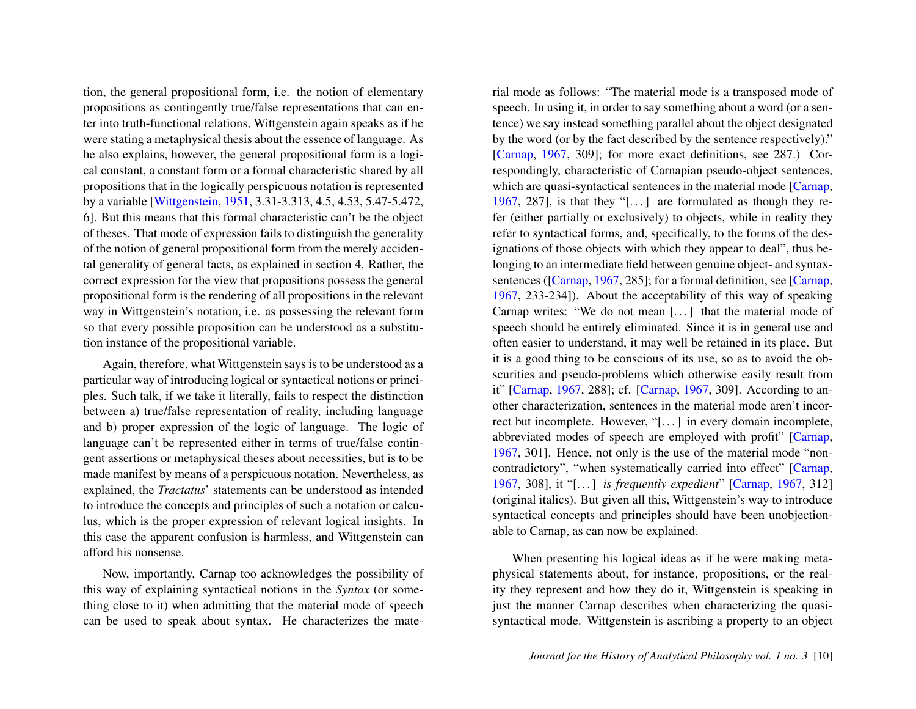tion, the general propositional form, i.e. the notion of elementary propositions as contingently true/false representations that can enter into truth-functional relations, Wittgenstein again speaks as if he were stating a metaphysical thesis about the essence of language. As he also explains, however, the general propositional form is a logical constant, a constant form or a formal characteristic shared by all propositions that in the logically perspicuous notation is represented by a variable [\[Wittgenstein,](#page-24-2) [1951,](#page-24-2) 3.31-3.313, 4.5, 4.53, 5.47-5.472, 6]. But this means that this formal characteristic can't be the object of theses. That mode of expression fails to distinguish the generality of the notion of general propositional form from the merely accidental generality of general facts, as explained in section 4. Rather, the correct expression for the view that propositions possess the general propositional form is the rendering of all propositions in the relevant way in Wittgenstein's notation, i.e. as possessing the relevant form so that every possible proposition can be understood as a substitution instance of the propositional variable.

Again, therefore, what Wittgenstein says is to be understood as a particular way of introducing logical or syntactical notions or principles. Such talk, if we take it literally, fails to respect the distinction between a) true/false representation of reality, including language and b) proper expression of the logic of language. The logic of language can't be represented either in terms of true/false contingent assertions or metaphysical theses about necessities, but is to be made manifest by means of a perspicuous notation. Nevertheless, as explained, the *Tractatus*' statements can be understood as intended to introduce the concepts and principles of such a notation or calculus, which is the proper expression of relevant logical insights. In this case the apparent confusion is harmless, and Wittgenstein can afford his nonsense.

Now, importantly, Carnap too acknowledges the possibility of this way of explaining syntactical notions in the *Syntax* (or something close to it) when admitting that the material mode of speech can be used to speak about syntax. He characterizes the material mode as follows: "The material mode is a transposed mode of speech. In using it, in order to say something about a word (or a sentence) we say instead something parallel about the object designated by the word (or by the fact described by the sentence respectively)." [\[Carnap,](#page-24-1) [1967,](#page-24-1) 309]; for more exact definitions, see 287.) Correspondingly, characteristic of Carnapian pseudo-object sentences, which are quasi-syntactical sentences in the material mode [\[Carnap,](#page-24-1) [1967,](#page-24-1) 287], is that they "[ $\dots$ ] are formulated as though they refer (either partially or exclusively) to objects, while in reality they refer to syntactical forms, and, specifically, to the forms of the designations of those objects with which they appear to deal", thus belonging to an intermediate field between genuine object- and syntax-sentences ([\[Carnap,](#page-24-1) [1967,](#page-24-1) 285]; for a formal definition, see [Carnap, [1967,](#page-24-1) 233-234]). About the acceptability of this way of speaking Carnap writes: "We do not mean [. . . ] that the material mode of speech should be entirely eliminated. Since it is in general use and often easier to understand, it may well be retained in its place. But it is a good thing to be conscious of its use, so as to avoid the obscurities and pseudo-problems which otherwise easily result from it" [\[Carnap,](#page-24-1) [1967,](#page-24-1) 288]; cf. [\[Carnap,](#page-24-1) [1967,](#page-24-1) 309]. According to another characterization, sentences in the material mode aren't incorrect but incomplete. However, "[. . . ] in every domain incomplete, abbreviated modes of speech are employed with profit" [\[Carnap,](#page-24-1) [1967,](#page-24-1) 301]. Hence, not only is the use of the material mode "noncontradictory", "when systematically carried into effect" [\[Carnap,](#page-24-1) [1967,](#page-24-1) 308], it "[. . . ] *is frequently expedient*" [\[Carnap,](#page-24-1) [1967,](#page-24-1) 312] (original italics). But given all this, Wittgenstein's way to introduce syntactical concepts and principles should have been unobjectionable to Carnap, as can now be explained.

When presenting his logical ideas as if he were making metaphysical statements about, for instance, propositions, or the reality they represent and how they do it, Wittgenstein is speaking in just the manner Carnap describes when characterizing the quasisyntactical mode. Wittgenstein is ascribing a property to an object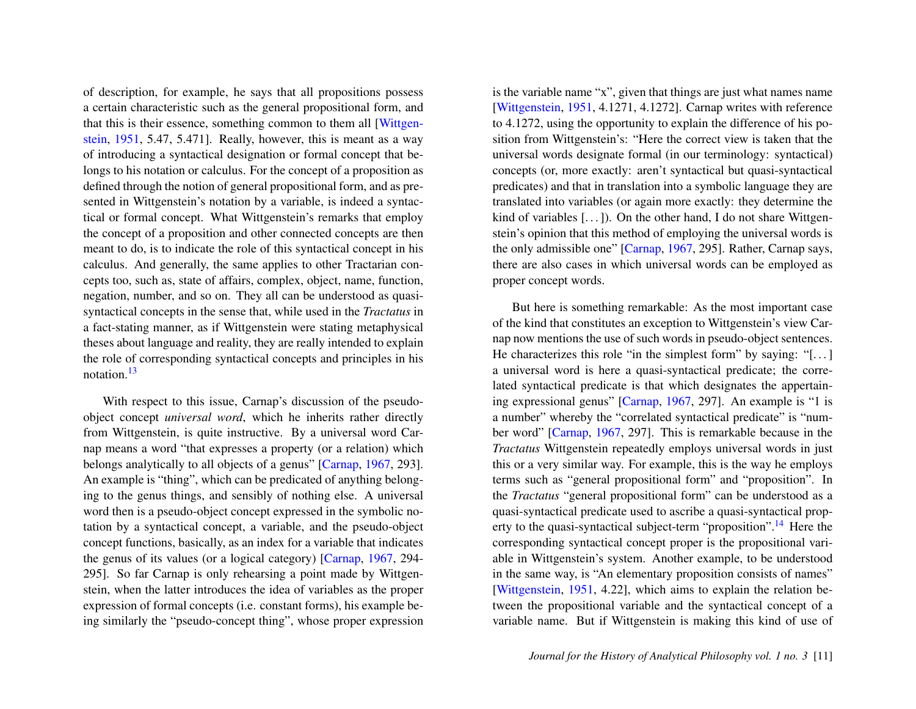of description, for example, he says that all propositions possess a certain characteristic such as the general propositional form, and that this is their essence, something common to them all [\[Wittgen](#page-24-2)[stein,](#page-24-2) [1951,](#page-24-2) 5.47, 5.471]. Really, however, this is meant as a way of introducing a syntactical designation or formal concept that belongs to his notation or calculus. For the concept of a proposition as defined through the notion of general propositional form, and as presented in Wittgenstein's notation by a variable, is indeed a syntactical or formal concept. What Wittgenstein's remarks that employ the concept of a proposition and other connected concepts are then meant to do, is to indicate the role of this syntactical concept in his calculus. And generally, the same applies to other Tractarian concepts too, such as, state of affairs, complex, object, name, function, negation, number, and so on. They all can be understood as quasisyntactical concepts in the sense that, while used in the *Tractatus* in a fact-stating manner, as if Wittgenstein were stating metaphysical theses about language and reality, they are really intended to explain the role of corresponding syntactical concepts and principles in his notation.[13](#page-21-8)

<span id="page-11-0"></span>With respect to this issue, Carnap's discussion of the pseudoobject concept *universal word*, which he inherits rather directly from Wittgenstein, is quite instructive. By a universal word Carnap means a word "that expresses a property (or a relation) which belongs analytically to all objects of a genus" [\[Carnap,](#page-24-1) [1967,](#page-24-1) 293]. An example is "thing", which can be predicated of anything belonging to the genus things, and sensibly of nothing else. A universal word then is a pseudo-object concept expressed in the symbolic notation by a syntactical concept, a variable, and the pseudo-object concept functions, basically, as an index for a variable that indicates the genus of its values (or a logical category) [\[Carnap,](#page-24-1) [1967,](#page-24-1) 294- 295]. So far Carnap is only rehearsing a point made by Wittgenstein, when the latter introduces the idea of variables as the proper expression of formal concepts (i.e. constant forms), his example being similarly the "pseudo-concept thing", whose proper expression is the variable name "x", given that things are just what names name [\[Wittgenstein,](#page-24-2) [1951,](#page-24-2) 4.1271, 4.1272]. Carnap writes with reference to 4.1272, using the opportunity to explain the difference of his position from Wittgenstein's: "Here the correct view is taken that the universal words designate formal (in our terminology: syntactical) concepts (or, more exactly: aren't syntactical but quasi-syntactical predicates) and that in translation into a symbolic language they are translated into variables (or again more exactly: they determine the kind of variables  $[\dots]$ . On the other hand, I do not share Wittgenstein's opinion that this method of employing the universal words is the only admissible one" [\[Carnap,](#page-24-1) [1967,](#page-24-1) 295]. Rather, Carnap says, there are also cases in which universal words can be employed as proper concept words.

<span id="page-11-1"></span>But here is something remarkable: As the most important case of the kind that constitutes an exception to Wittgenstein's view Carnap now mentions the use of such words in pseudo-object sentences. He characterizes this role "in the simplest form" by saying: "[ $\dots$ ] a universal word is here a quasi-syntactical predicate; the correlated syntactical predicate is that which designates the appertaining expressional genus" [\[Carnap,](#page-24-1) [1967,](#page-24-1) 297]. An example is "1 is a number" whereby the "correlated syntactical predicate" is "number word" [\[Carnap,](#page-24-1) [1967,](#page-24-1) 297]. This is remarkable because in the *Tractatus* Wittgenstein repeatedly employs universal words in just this or a very similar way. For example, this is the way he employs terms such as "general propositional form" and "proposition". In the *Tractatus* "general propositional form" can be understood as a quasi-syntactical predicate used to ascribe a quasi-syntactical prop-erty to the quasi-syntactical subject-term "proposition".<sup>[14](#page-21-9)</sup> Here the corresponding syntactical concept proper is the propositional variable in Wittgenstein's system. Another example, to be understood in the same way, is "An elementary proposition consists of names" [\[Wittgenstein,](#page-24-2) [1951,](#page-24-2) 4.22], which aims to explain the relation between the propositional variable and the syntactical concept of a variable name. But if Wittgenstein is making this kind of use of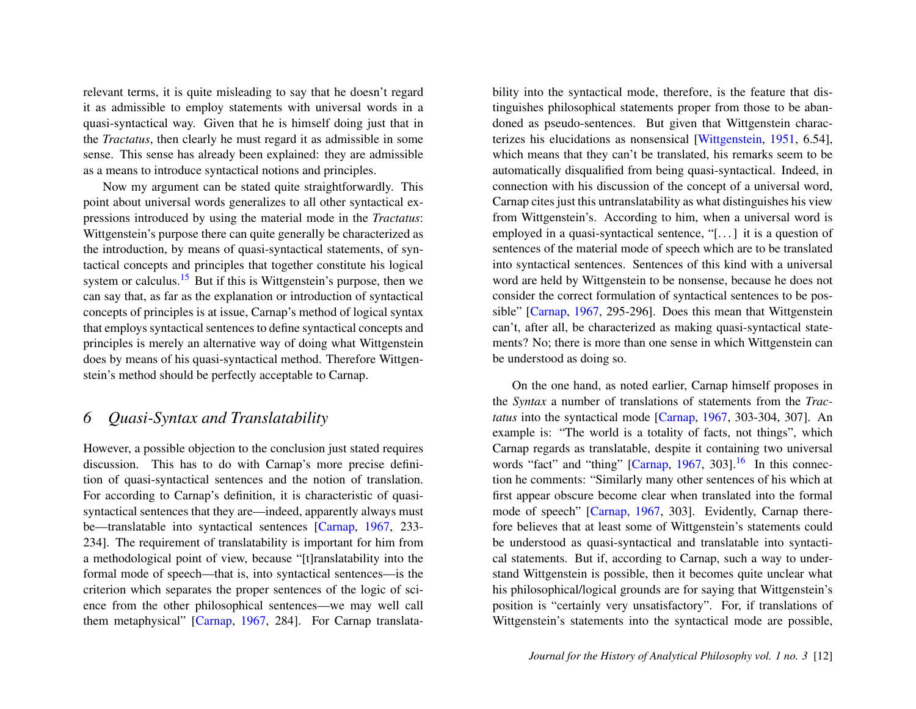relevant terms, it is quite misleading to say that he doesn't regard it as admissible to employ statements with universal words in a quasi-syntactical way. Given that he is himself doing just that in the *Tractatus*, then clearly he must regard it as admissible in some sense. This sense has already been explained: they are admissible as a means to introduce syntactical notions and principles.

<span id="page-12-0"></span>Now my argument can be stated quite straightforwardly. This point about universal words generalizes to all other syntactical expressions introduced by using the material mode in the *Tractatus*: Wittgenstein's purpose there can quite generally be characterized as the introduction, by means of quasi-syntactical statements, of syntactical concepts and principles that together constitute his logical system or calculus.<sup>[15](#page-22-0)</sup> But if this is Wittgenstein's purpose, then we can say that, as far as the explanation or introduction of syntactical concepts of principles is at issue, Carnap's method of logical syntax that employs syntactical sentences to define syntactical concepts and principles is merely an alternative way of doing what Wittgenstein does by means of his quasi-syntactical method. Therefore Wittgenstein's method should be perfectly acceptable to Carnap.

## *6 Quasi-Syntax and Translatability*

However, a possible objection to the conclusion just stated requires discussion. This has to do with Carnap's more precise definition of quasi-syntactical sentences and the notion of translation. For according to Carnap's definition, it is characteristic of quasisyntactical sentences that they are—indeed, apparently always must be—translatable into syntactical sentences [\[Carnap,](#page-24-1) [1967,](#page-24-1) 233- 234]. The requirement of translatability is important for him from a methodological point of view, because "[t]ranslatability into the formal mode of speech—that is, into syntactical sentences—is the criterion which separates the proper sentences of the logic of science from the other philosophical sentences—we may well call them metaphysical" [\[Carnap,](#page-24-1) [1967,](#page-24-1) 284]. For Carnap translata-

bility into the syntactical mode, therefore, is the feature that distinguishes philosophical statements proper from those to be abandoned as pseudo-sentences. But given that Wittgenstein characterizes his elucidations as nonsensical [\[Wittgenstein,](#page-24-2) [1951,](#page-24-2) 6.54], which means that they can't be translated, his remarks seem to be automatically disqualified from being quasi-syntactical. Indeed, in connection with his discussion of the concept of a universal word, Carnap cites just this untranslatability as what distinguishes his view from Wittgenstein's. According to him, when a universal word is employed in a quasi-syntactical sentence, "[. . . ] it is a question of sentences of the material mode of speech which are to be translated into syntactical sentences. Sentences of this kind with a universal word are held by Wittgenstein to be nonsense, because he does not consider the correct formulation of syntactical sentences to be possible" [\[Carnap,](#page-24-1) [1967,](#page-24-1) 295-296]. Does this mean that Wittgenstein can't, after all, be characterized as making quasi-syntactical statements? No; there is more than one sense in which Wittgenstein can be understood as doing so.

<span id="page-12-1"></span>On the one hand, as noted earlier, Carnap himself proposes in the *Syntax* a number of translations of statements from the *Tractatus* into the syntactical mode [\[Carnap,](#page-24-1) [1967,](#page-24-1) 303-304, 307]. An example is: "The world is a totality of facts, not things", which Carnap regards as translatable, despite it containing two universal words "fact" and "thing" [\[Carnap,](#page-24-1)  $1967$ ,  $303$ ].<sup>[16](#page-22-1)</sup> In this connection he comments: "Similarly many other sentences of his which at first appear obscure become clear when translated into the formal mode of speech" [\[Carnap,](#page-24-1) [1967,](#page-24-1) 303]. Evidently, Carnap therefore believes that at least some of Wittgenstein's statements could be understood as quasi-syntactical and translatable into syntactical statements. But if, according to Carnap, such a way to understand Wittgenstein is possible, then it becomes quite unclear what his philosophical/logical grounds are for saying that Wittgenstein's position is "certainly very unsatisfactory". For, if translations of Wittgenstein's statements into the syntactical mode are possible,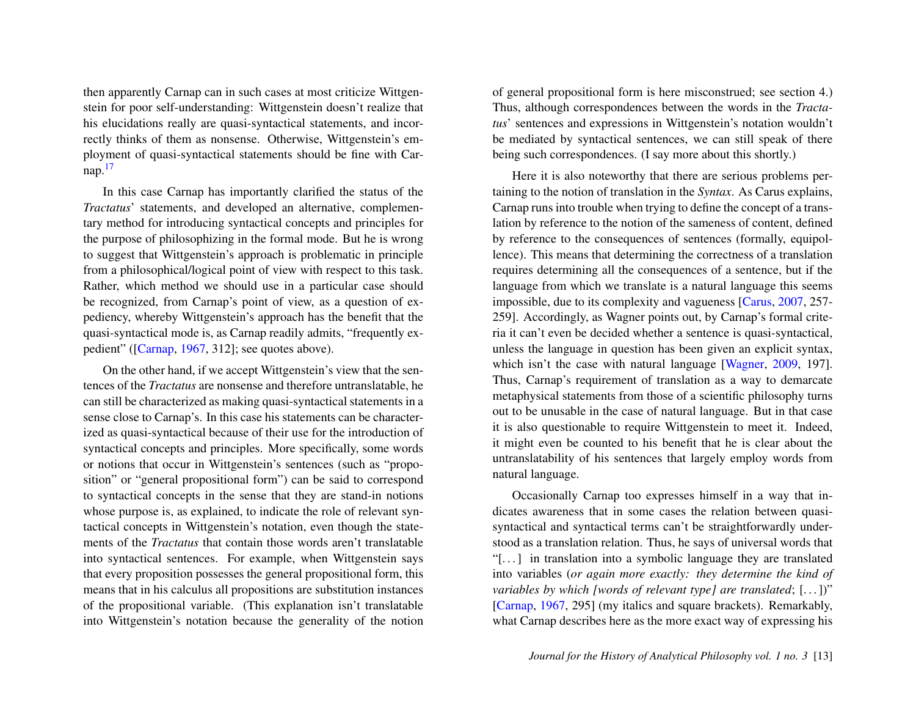then apparently Carnap can in such cases at most criticize Wittgenstein for poor self-understanding: Wittgenstein doesn't realize that his elucidations really are quasi-syntactical statements, and incorrectly thinks of them as nonsense. Otherwise, Wittgenstein's employment of quasi-syntactical statements should be fine with Carnap. $17$ 

<span id="page-13-0"></span>In this case Carnap has importantly clarified the status of the *Tractatus*' statements, and developed an alternative, complementary method for introducing syntactical concepts and principles for the purpose of philosophizing in the formal mode. But he is wrong to suggest that Wittgenstein's approach is problematic in principle from a philosophical/logical point of view with respect to this task. Rather, which method we should use in a particular case should be recognized, from Carnap's point of view, as a question of expediency, whereby Wittgenstein's approach has the benefit that the quasi-syntactical mode is, as Carnap readily admits, "frequently expedient" ([\[Carnap,](#page-24-1) [1967,](#page-24-1) 312]; see quotes above).

On the other hand, if we accept Wittgenstein's view that the sentences of the *Tractatus* are nonsense and therefore untranslatable, he can still be characterized as making quasi-syntactical statements in a sense close to Carnap's. In this case his statements can be characterized as quasi-syntactical because of their use for the introduction of syntactical concepts and principles. More specifically, some words or notions that occur in Wittgenstein's sentences (such as "proposition" or "general propositional form") can be said to correspond to syntactical concepts in the sense that they are stand-in notions whose purpose is, as explained, to indicate the role of relevant syntactical concepts in Wittgenstein's notation, even though the statements of the *Tractatus* that contain those words aren't translatable into syntactical sentences. For example, when Wittgenstein says that every proposition possesses the general propositional form, this means that in his calculus all propositions are substitution instances of the propositional variable. (This explanation isn't translatable into Wittgenstein's notation because the generality of the notion of general propositional form is here misconstrued; see section 4.) Thus, although correspondences between the words in the *Tractatus*' sentences and expressions in Wittgenstein's notation wouldn't be mediated by syntactical sentences, we can still speak of there being such correspondences. (I say more about this shortly.)

Here it is also noteworthy that there are serious problems pertaining to the notion of translation in the *Syntax*. As Carus explains, Carnap runs into trouble when trying to define the concept of a translation by reference to the notion of the sameness of content, defined by reference to the consequences of sentences (formally, equipollence). This means that determining the correctness of a translation requires determining all the consequences of a sentence, but if the language from which we translate is a natural language this seems impossible, due to its complexity and vagueness [\[Carus,](#page-24-8) [2007,](#page-24-8) 257- 259]. Accordingly, as Wagner points out, by Carnap's formal criteria it can't even be decided whether a sentence is quasi-syntactical, unless the language in question has been given an explicit syntax, which isn't the case with natural language [\[Wagner,](#page-24-5) [2009,](#page-24-5) 197]. Thus, Carnap's requirement of translation as a way to demarcate metaphysical statements from those of a scientific philosophy turns out to be unusable in the case of natural language. But in that case it is also questionable to require Wittgenstein to meet it. Indeed, it might even be counted to his benefit that he is clear about the untranslatability of his sentences that largely employ words from natural language.

Occasionally Carnap too expresses himself in a way that indicates awareness that in some cases the relation between quasisyntactical and syntactical terms can't be straightforwardly understood as a translation relation. Thus, he says of universal words that "[. . . ] in translation into a symbolic language they are translated into variables (*or again more exactly: they determine the kind of variables by which [words of relevant type] are translated*; [. . . ])" [\[Carnap,](#page-24-1) [1967,](#page-24-1) 295] (my italics and square brackets). Remarkably, what Carnap describes here as the more exact way of expressing his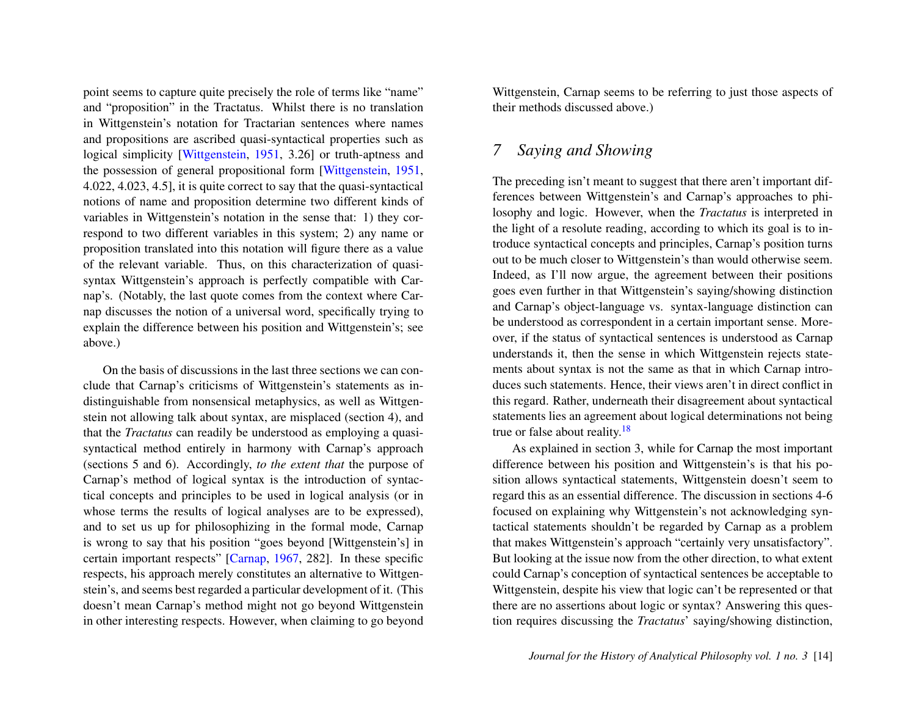point seems to capture quite precisely the role of terms like "name" and "proposition" in the Tractatus. Whilst there is no translation in Wittgenstein's notation for Tractarian sentences where names and propositions are ascribed quasi-syntactical properties such as logical simplicity [\[Wittgenstein,](#page-24-2) [1951,](#page-24-2) 3.26] or truth-aptness and the possession of general propositional form [\[Wittgenstein,](#page-24-2) [1951,](#page-24-2) 4.022, 4.023, 4.5], it is quite correct to say that the quasi-syntactical notions of name and proposition determine two different kinds of variables in Wittgenstein's notation in the sense that: 1) they correspond to two different variables in this system; 2) any name or proposition translated into this notation will figure there as a value of the relevant variable. Thus, on this characterization of quasisyntax Wittgenstein's approach is perfectly compatible with Carnap's. (Notably, the last quote comes from the context where Carnap discusses the notion of a universal word, specifically trying to explain the difference between his position and Wittgenstein's; see above.)

On the basis of discussions in the last three sections we can conclude that Carnap's criticisms of Wittgenstein's statements as indistinguishable from nonsensical metaphysics, as well as Wittgenstein not allowing talk about syntax, are misplaced (section 4), and that the *Tractatus* can readily be understood as employing a quasisyntactical method entirely in harmony with Carnap's approach (sections 5 and 6). Accordingly, *to the extent that* the purpose of Carnap's method of logical syntax is the introduction of syntactical concepts and principles to be used in logical analysis (or in whose terms the results of logical analyses are to be expressed), and to set us up for philosophizing in the formal mode, Carnap is wrong to say that his position "goes beyond [Wittgenstein's] in certain important respects" [\[Carnap,](#page-24-1) [1967,](#page-24-1) 282]. In these specific respects, his approach merely constitutes an alternative to Wittgenstein's, and seems best regarded a particular development of it. (This doesn't mean Carnap's method might not go beyond Wittgenstein in other interesting respects. However, when claiming to go beyond Wittgenstein, Carnap seems to be referring to just those aspects of their methods discussed above.)

## *7 Saying and Showing*

The preceding isn't meant to suggest that there aren't important differences between Wittgenstein's and Carnap's approaches to philosophy and logic. However, when the *Tractatus* is interpreted in the light of a resolute reading, according to which its goal is to introduce syntactical concepts and principles, Carnap's position turns out to be much closer to Wittgenstein's than would otherwise seem. Indeed, as I'll now argue, the agreement between their positions goes even further in that Wittgenstein's saying/showing distinction and Carnap's object-language vs. syntax-language distinction can be understood as correspondent in a certain important sense. Moreover, if the status of syntactical sentences is understood as Carnap understands it, then the sense in which Wittgenstein rejects statements about syntax is not the same as that in which Carnap introduces such statements. Hence, their views aren't in direct conflict in this regard. Rather, underneath their disagreement about syntactical statements lies an agreement about logical determinations not being true or false about reality. $18$ 

<span id="page-14-0"></span>As explained in section 3, while for Carnap the most important difference between his position and Wittgenstein's is that his position allows syntactical statements, Wittgenstein doesn't seem to regard this as an essential difference. The discussion in sections 4-6 focused on explaining why Wittgenstein's not acknowledging syntactical statements shouldn't be regarded by Carnap as a problem that makes Wittgenstein's approach "certainly very unsatisfactory". But looking at the issue now from the other direction, to what extent could Carnap's conception of syntactical sentences be acceptable to Wittgenstein, despite his view that logic can't be represented or that there are no assertions about logic or syntax? Answering this question requires discussing the *Tractatus*' saying/showing distinction,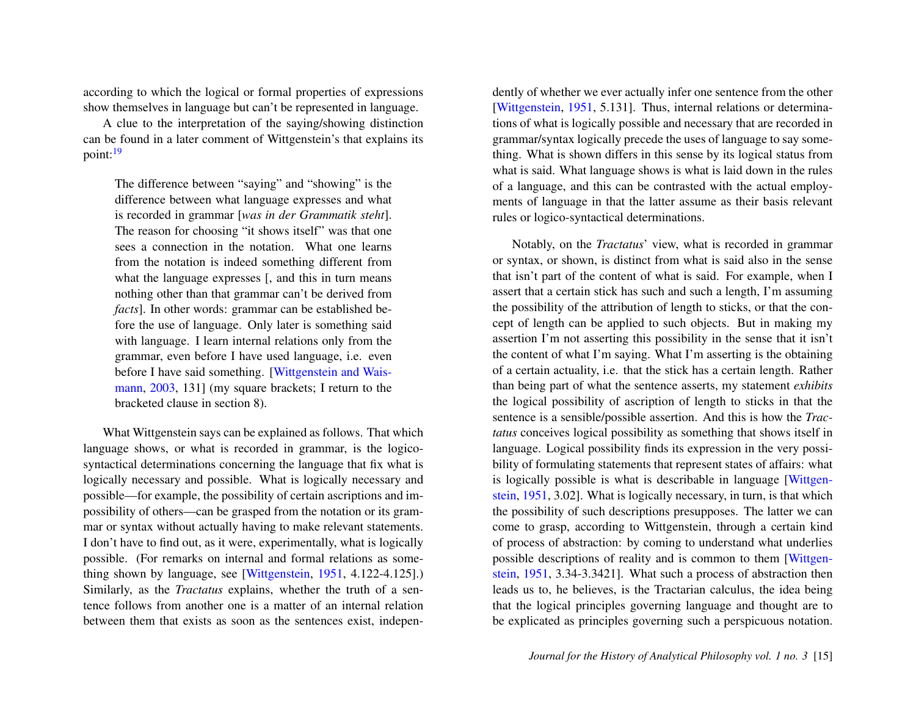according to which the logical or formal properties of expressions show themselves in language but can't be represented in language.

A clue to the interpretation of the saying/showing distinction can be found in a later comment of Wittgenstein's that explains its point:<sup>[19](#page-22-4)</sup>

<span id="page-15-0"></span>The difference between "saying" and "showing" is the difference between what language expresses and what is recorded in grammar [*was in der Grammatik steht*]. The reason for choosing "it shows itself" was that one sees a connection in the notation. What one learns from the notation is indeed something different from what the language expresses  $\overline{a}$ , and this in turn means nothing other than that grammar can't be derived from *facts*]. In other words: grammar can be established before the use of language. Only later is something said with language. I learn internal relations only from the grammar, even before I have used language, i.e. even before I have said something. [\[Wittgenstein and Wais](#page-25-2)[mann,](#page-25-2) [2003,](#page-25-2) 131] (my square brackets; I return to the bracketed clause in section 8).

What Wittgenstein says can be explained as follows. That which language shows, or what is recorded in grammar, is the logicosyntactical determinations concerning the language that fix what is logically necessary and possible. What is logically necessary and possible—for example, the possibility of certain ascriptions and impossibility of others—can be grasped from the notation or its grammar or syntax without actually having to make relevant statements. I don't have to find out, as it were, experimentally, what is logically possible. (For remarks on internal and formal relations as something shown by language, see [\[Wittgenstein,](#page-24-2) [1951,](#page-24-2) 4.122-4.125].) Similarly, as the *Tractatus* explains, whether the truth of a sentence follows from another one is a matter of an internal relation between them that exists as soon as the sentences exist, independently of whether we ever actually infer one sentence from the other [\[Wittgenstein,](#page-24-2) [1951,](#page-24-2) 5.131]. Thus, internal relations or determinations of what is logically possible and necessary that are recorded in grammar/syntax logically precede the uses of language to say something. What is shown differs in this sense by its logical status from what is said. What language shows is what is laid down in the rules of a language, and this can be contrasted with the actual employments of language in that the latter assume as their basis relevant rules or logico-syntactical determinations.

Notably, on the *Tractatus*' view, what is recorded in grammar or syntax, or shown, is distinct from what is said also in the sense that isn't part of the content of what is said. For example, when I assert that a certain stick has such and such a length, I'm assuming the possibility of the attribution of length to sticks, or that the concept of length can be applied to such objects. But in making my assertion I'm not asserting this possibility in the sense that it isn't the content of what I'm saying. What I'm asserting is the obtaining of a certain actuality, i.e. that the stick has a certain length. Rather than being part of what the sentence asserts, my statement *exhibits* the logical possibility of ascription of length to sticks in that the sentence is a sensible/possible assertion. And this is how the *Tractatus* conceives logical possibility as something that shows itself in language. Logical possibility finds its expression in the very possibility of formulating statements that represent states of affairs: what is logically possible is what is describable in language [\[Wittgen](#page-24-2)[stein,](#page-24-2) [1951,](#page-24-2) 3.02]. What is logically necessary, in turn, is that which the possibility of such descriptions presupposes. The latter we can come to grasp, according to Wittgenstein, through a certain kind of process of abstraction: by coming to understand what underlies possible descriptions of reality and is common to them [\[Wittgen](#page-24-2)[stein,](#page-24-2) [1951,](#page-24-2) 3.34-3.3421]. What such a process of abstraction then leads us to, he believes, is the Tractarian calculus, the idea being that the logical principles governing language and thought are to be explicated as principles governing such a perspicuous notation.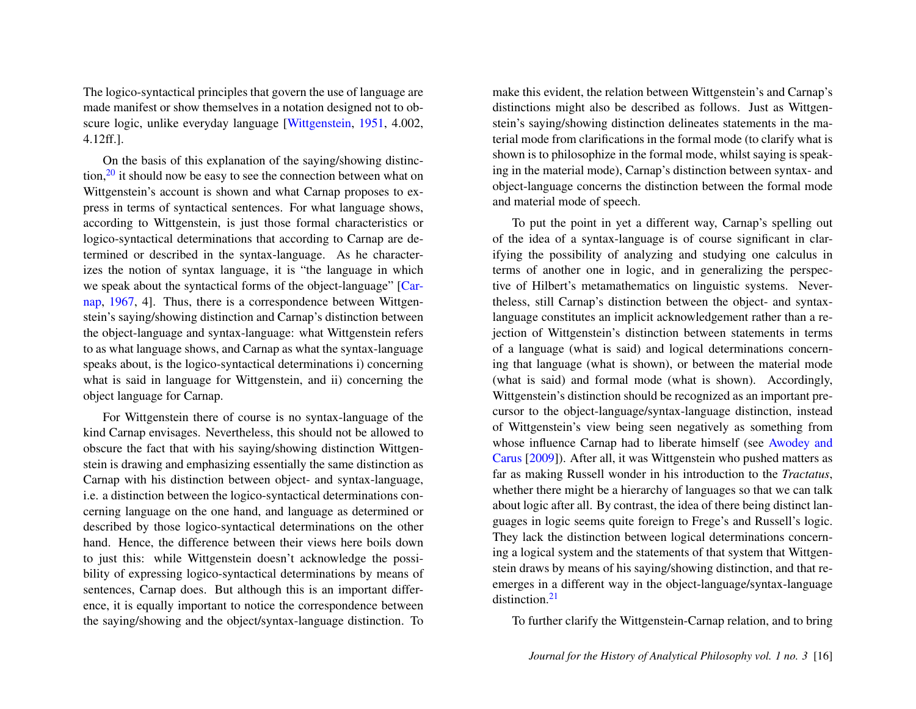The logico-syntactical principles that govern the use of language are made manifest or show themselves in a notation designed not to obscure logic, unlike everyday language [\[Wittgenstein,](#page-24-2) [1951,](#page-24-2) 4.002, 4.12ff.].

<span id="page-16-0"></span>On the basis of this explanation of the saying/showing distinction, $2<sup>0</sup>$  it should now be easy to see the connection between what on Wittgenstein's account is shown and what Carnap proposes to express in terms of syntactical sentences. For what language shows, according to Wittgenstein, is just those formal characteristics or logico-syntactical determinations that according to Carnap are determined or described in the syntax-language. As he characterizes the notion of syntax language, it is "the language in which we speak about the syntactical forms of the object-language" [\[Car](#page-24-1)[nap,](#page-24-1) [1967,](#page-24-1) 4]. Thus, there is a correspondence between Wittgenstein's saying/showing distinction and Carnap's distinction between the object-language and syntax-language: what Wittgenstein refers to as what language shows, and Carnap as what the syntax-language speaks about, is the logico-syntactical determinations i) concerning what is said in language for Wittgenstein, and ii) concerning the object language for Carnap.

For Wittgenstein there of course is no syntax-language of the kind Carnap envisages. Nevertheless, this should not be allowed to obscure the fact that with his saying/showing distinction Wittgenstein is drawing and emphasizing essentially the same distinction as Carnap with his distinction between object- and syntax-language, i.e. a distinction between the logico-syntactical determinations concerning language on the one hand, and language as determined or described by those logico-syntactical determinations on the other hand. Hence, the difference between their views here boils down to just this: while Wittgenstein doesn't acknowledge the possibility of expressing logico-syntactical determinations by means of sentences, Carnap does. But although this is an important difference, it is equally important to notice the correspondence between the saying/showing and the object/syntax-language distinction. To

make this evident, the relation between Wittgenstein's and Carnap's distinctions might also be described as follows. Just as Wittgenstein's saying/showing distinction delineates statements in the material mode from clarifications in the formal mode (to clarify what is shown is to philosophize in the formal mode, whilst saying is speaking in the material mode), Carnap's distinction between syntax- and object-language concerns the distinction between the formal mode and material mode of speech.

To put the point in yet a different way, Carnap's spelling out of the idea of a syntax-language is of course significant in clarifying the possibility of analyzing and studying one calculus in terms of another one in logic, and in generalizing the perspective of Hilbert's metamathematics on linguistic systems. Nevertheless, still Carnap's distinction between the object- and syntaxlanguage constitutes an implicit acknowledgement rather than a rejection of Wittgenstein's distinction between statements in terms of a language (what is said) and logical determinations concerning that language (what is shown), or between the material mode (what is said) and formal mode (what is shown). Accordingly, Wittgenstein's distinction should be recognized as an important precursor to the object-language/syntax-language distinction, instead of Wittgenstein's view being seen negatively as something from whose influence Carnap had to liberate himself (see [Awodey and](#page-24-4) [Carus](#page-24-4) [\[2009\]](#page-24-4)). After all, it was Wittgenstein who pushed matters as far as making Russell wonder in his introduction to the *Tractatus*, whether there might be a hierarchy of languages so that we can talk about logic after all. By contrast, the idea of there being distinct languages in logic seems quite foreign to Frege's and Russell's logic. They lack the distinction between logical determinations concerning a logical system and the statements of that system that Wittgenstein draws by means of his saying/showing distinction, and that reemerges in a different way in the object-language/syntax-language distinction<sup>[21](#page-22-6)</sup>

<span id="page-16-1"></span>To further clarify the Wittgenstein-Carnap relation, and to bring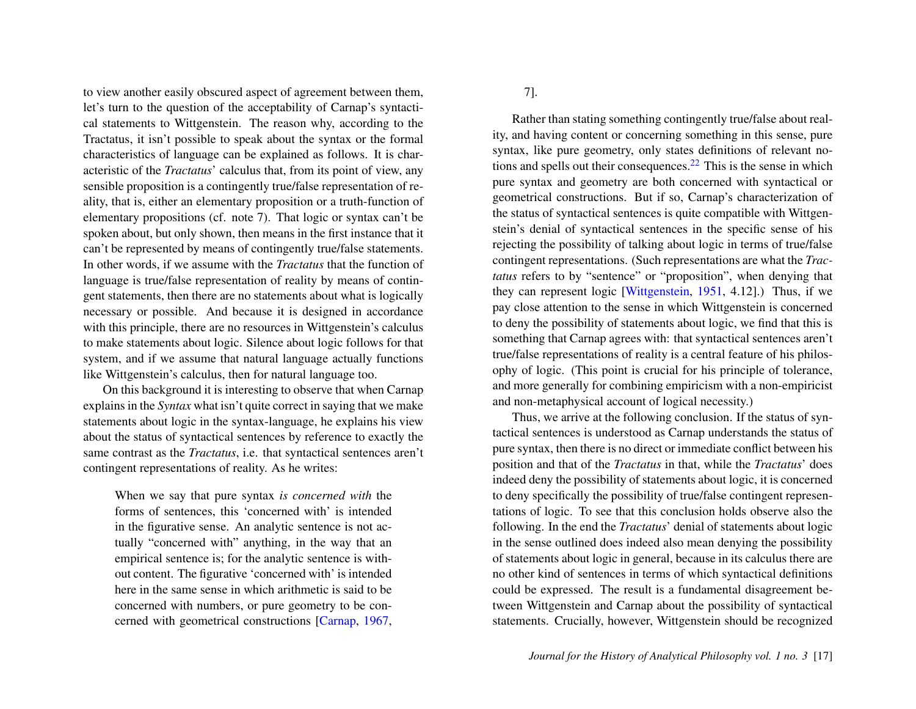to view another easily obscured aspect of agreement between them, let's turn to the question of the acceptability of Carnap's syntactical statements to Wittgenstein. The reason why, according to the Tractatus, it isn't possible to speak about the syntax or the formal characteristics of language can be explained as follows. It is characteristic of the *Tractatus*' calculus that, from its point of view, any sensible proposition is a contingently true/false representation of reality, that is, either an elementary proposition or a truth-function of elementary propositions (cf. note 7). That logic or syntax can't be spoken about, but only shown, then means in the first instance that it can't be represented by means of contingently true/false statements. In other words, if we assume with the *Tractatus* that the function of language is true/false representation of reality by means of contingent statements, then there are no statements about what is logically necessary or possible. And because it is designed in accordance with this principle, there are no resources in Wittgenstein's calculus to make statements about logic. Silence about logic follows for that system, and if we assume that natural language actually functions like Wittgenstein's calculus, then for natural language too.

On this background it is interesting to observe that when Carnap explains in the *Syntax* what isn't quite correct in saying that we make statements about logic in the syntax-language, he explains his view about the status of syntactical sentences by reference to exactly the same contrast as the *Tractatus*, i.e. that syntactical sentences aren't contingent representations of reality. As he writes:

When we say that pure syntax *is concerned with* the forms of sentences, this 'concerned with' is intended in the figurative sense. An analytic sentence is not actually "concerned with" anything, in the way that an empirical sentence is; for the analytic sentence is without content. The figurative 'concerned with' is intended here in the same sense in which arithmetic is said to be concerned with numbers, or pure geometry to be concerned with geometrical constructions [\[Carnap,](#page-24-1) [1967,](#page-24-1) <span id="page-17-0"></span>7].

Rather than stating something contingently true/false about reality, and having content or concerning something in this sense, pure syntax, like pure geometry, only states definitions of relevant notions and spells out their consequences. $22$  This is the sense in which pure syntax and geometry are both concerned with syntactical or geometrical constructions. But if so, Carnap's characterization of the status of syntactical sentences is quite compatible with Wittgenstein's denial of syntactical sentences in the specific sense of his rejecting the possibility of talking about logic in terms of true/false contingent representations. (Such representations are what the *Tractatus* refers to by "sentence" or "proposition", when denying that they can represent logic [\[Wittgenstein,](#page-24-2) [1951,](#page-24-2) 4.12].) Thus, if we pay close attention to the sense in which Wittgenstein is concerned to deny the possibility of statements about logic, we find that this is something that Carnap agrees with: that syntactical sentences aren't true/false representations of reality is a central feature of his philosophy of logic. (This point is crucial for his principle of tolerance, and more generally for combining empiricism with a non-empiricist and non-metaphysical account of logical necessity.)

Thus, we arrive at the following conclusion. If the status of syntactical sentences is understood as Carnap understands the status of pure syntax, then there is no direct or immediate conflict between his position and that of the *Tractatus* in that, while the *Tractatus*' does indeed deny the possibility of statements about logic, it is concerned to deny specifically the possibility of true/false contingent representations of logic. To see that this conclusion holds observe also the following. In the end the *Tractatus*' denial of statements about logic in the sense outlined does indeed also mean denying the possibility of statements about logic in general, because in its calculus there are no other kind of sentences in terms of which syntactical definitions could be expressed. The result is a fundamental disagreement between Wittgenstein and Carnap about the possibility of syntactical statements. Crucially, however, Wittgenstein should be recognized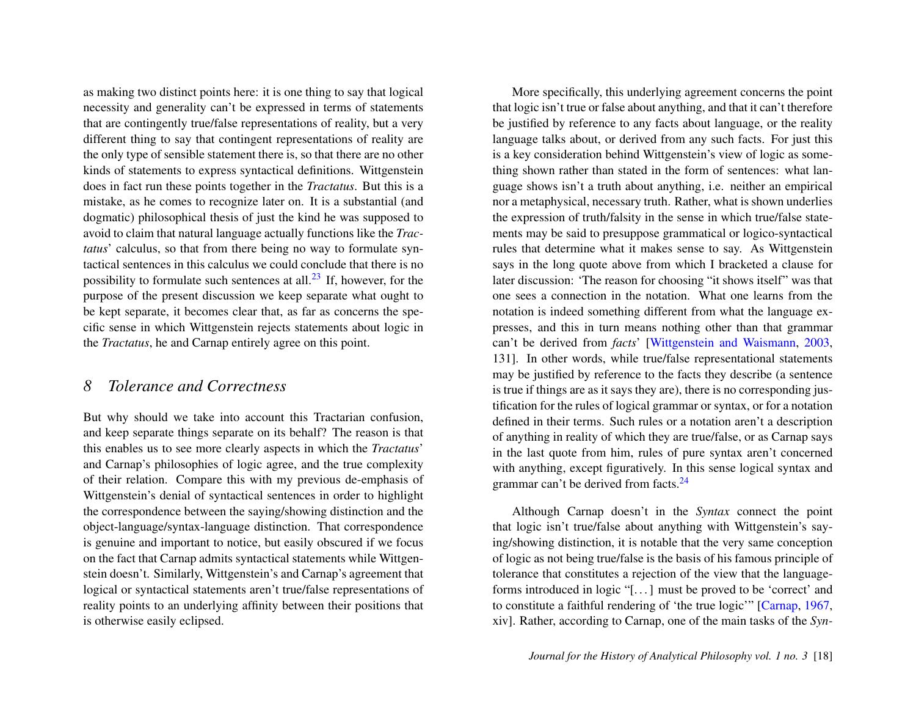as making two distinct points here: it is one thing to say that logical necessity and generality can't be expressed in terms of statements that are contingently true/false representations of reality, but a very different thing to say that contingent representations of reality are the only type of sensible statement there is, so that there are no other kinds of statements to express syntactical definitions. Wittgenstein does in fact run these points together in the *Tractatus*. But this is a mistake, as he comes to recognize later on. It is a substantial (and dogmatic) philosophical thesis of just the kind he was supposed to avoid to claim that natural language actually functions like the *Tractatus*' calculus, so that from there being no way to formulate syntactical sentences in this calculus we could conclude that there is no possibility to formulate such sentences at all.<sup>[23](#page-22-8)</sup> If, however, for the purpose of the present discussion we keep separate what ought to be kept separate, it becomes clear that, as far as concerns the specific sense in which Wittgenstein rejects statements about logic in the *Tractatus*, he and Carnap entirely agree on this point.

#### <span id="page-18-0"></span>*8 Tolerance and Correctness*

But why should we take into account this Tractarian confusion, and keep separate things separate on its behalf? The reason is that this enables us to see more clearly aspects in which the *Tractatus*' and Carnap's philosophies of logic agree, and the true complexity of their relation. Compare this with my previous de-emphasis of Wittgenstein's denial of syntactical sentences in order to highlight the correspondence between the saying/showing distinction and the object-language/syntax-language distinction. That correspondence is genuine and important to notice, but easily obscured if we focus on the fact that Carnap admits syntactical statements while Wittgenstein doesn't. Similarly, Wittgenstein's and Carnap's agreement that logical or syntactical statements aren't true/false representations of reality points to an underlying affinity between their positions that is otherwise easily eclipsed.

More specifically, this underlying agreement concerns the point that logic isn't true or false about anything, and that it can't therefore be justified by reference to any facts about language, or the reality language talks about, or derived from any such facts. For just this is a key consideration behind Wittgenstein's view of logic as something shown rather than stated in the form of sentences: what language shows isn't a truth about anything, i.e. neither an empirical nor a metaphysical, necessary truth. Rather, what is shown underlies the expression of truth/falsity in the sense in which true/false statements may be said to presuppose grammatical or logico-syntactical rules that determine what it makes sense to say. As Wittgenstein says in the long quote above from which I bracketed a clause for later discussion: 'The reason for choosing "it shows itself" was that one sees a connection in the notation. What one learns from the notation is indeed something different from what the language expresses, and this in turn means nothing other than that grammar can't be derived from *facts*' [\[Wittgenstein and Waismann,](#page-25-2) [2003,](#page-25-2) 131]. In other words, while true/false representational statements may be justified by reference to the facts they describe (a sentence is true if things are as it says they are), there is no corresponding justification for the rules of logical grammar or syntax, or for a notation defined in their terms. Such rules or a notation aren't a description of anything in reality of which they are true/false, or as Carnap says in the last quote from him, rules of pure syntax aren't concerned with anything, except figuratively. In this sense logical syntax and grammar can't be derived from facts.<sup>[24](#page-22-9)</sup>

<span id="page-18-1"></span>Although Carnap doesn't in the *Syntax* connect the point that logic isn't true/false about anything with Wittgenstein's saying/showing distinction, it is notable that the very same conception of logic as not being true/false is the basis of his famous principle of tolerance that constitutes a rejection of the view that the languageforms introduced in logic "[. . . ] must be proved to be 'correct' and to constitute a faithful rendering of 'the true logic'" [\[Carnap,](#page-24-1) [1967,](#page-24-1) xiv]. Rather, according to Carnap, one of the main tasks of the *Syn-*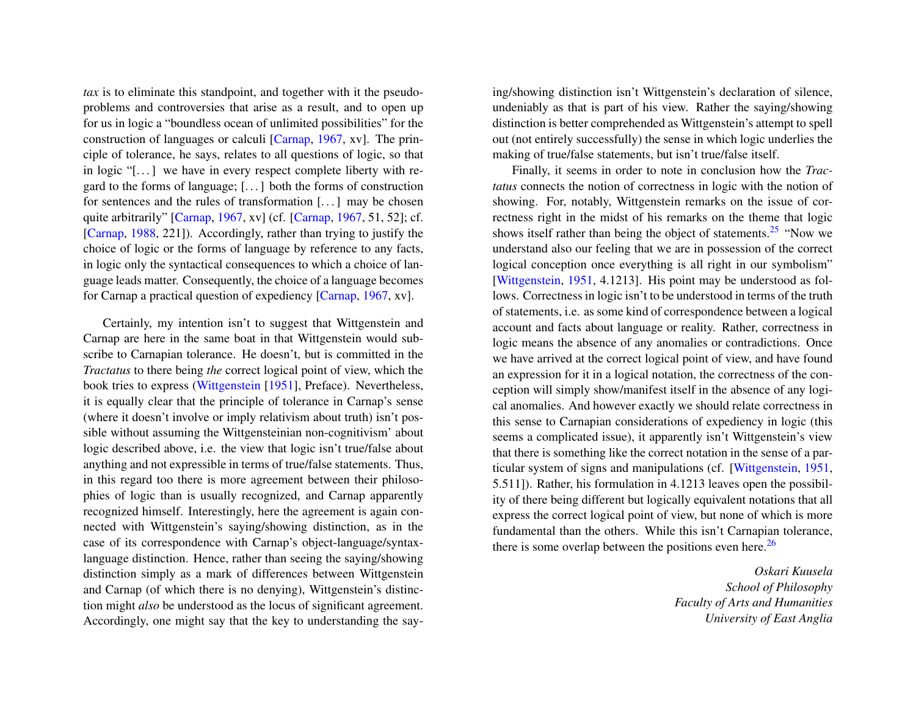*tax* is to eliminate this standpoint, and together with it the pseudoproblems and controversies that arise as a result, and to open up for us in logic a "boundless ocean of unlimited possibilities" for the construction of languages or calculi [\[Carnap,](#page-24-1) [1967,](#page-24-1) xv]. The principle of tolerance, he says, relates to all questions of logic, so that in logic  $\lceil \cdot \rceil$  we have in every respect complete liberty with regard to the forms of language; [. . . ] both the forms of construction for sentences and the rules of transformation [. . . ] may be chosen quite arbitrarily" [\[Carnap,](#page-24-1) [1967,](#page-24-1) xv] (cf. [\[Carnap,](#page-24-1) [1967,](#page-24-1) 51, 52]; cf. [\[Carnap,](#page-24-9) [1988,](#page-24-9) 221]). Accordingly, rather than trying to justify the choice of logic or the forms of language by reference to any facts, in logic only the syntactical consequences to which a choice of language leads matter. Consequently, the choice of a language becomes for Carnap a practical question of expediency [\[Carnap,](#page-24-1) [1967,](#page-24-1) xv].

Certainly, my intention isn't to suggest that Wittgenstein and Carnap are here in the same boat in that Wittgenstein would subscribe to Carnapian tolerance. He doesn't, but is committed in the *Tractatus* to there being *the* correct logical point of view, which the book tries to express [\(Wittgenstein](#page-24-2) [\[1951\]](#page-24-2), Preface). Nevertheless, it is equally clear that the principle of tolerance in Carnap's sense (where it doesn't involve or imply relativism about truth) isn't possible without assuming the Wittgensteinian non-cognitivism' about logic described above, i.e. the view that logic isn't true/false about anything and not expressible in terms of true/false statements. Thus, in this regard too there is more agreement between their philosophies of logic than is usually recognized, and Carnap apparently recognized himself. Interestingly, here the agreement is again connected with Wittgenstein's saying/showing distinction, as in the case of its correspondence with Carnap's object-language/syntaxlanguage distinction. Hence, rather than seeing the saying/showing distinction simply as a mark of differences between Wittgenstein and Carnap (of which there is no denying), Wittgenstein's distinction might *also* be understood as the locus of significant agreement. Accordingly, one might say that the key to understanding the saying/showing distinction isn't Wittgenstein's declaration of silence, undeniably as that is part of his view. Rather the saying/showing distinction is better comprehended as Wittgenstein's attempt to spell out (not entirely successfully) the sense in which logic underlies the making of true/false statements, but isn't true/false itself.

<span id="page-19-0"></span>Finally, it seems in order to note in conclusion how the *Tractatus* connects the notion of correctness in logic with the notion of showing. For, notably, Wittgenstein remarks on the issue of correctness right in the midst of his remarks on the theme that logic shows itself rather than being the object of statements.<sup>[25](#page-22-10)</sup> "Now we understand also our feeling that we are in possession of the correct logical conception once everything is all right in our symbolism" [\[Wittgenstein,](#page-24-2) [1951,](#page-24-2) 4.1213]. His point may be understood as follows. Correctness in logic isn't to be understood in terms of the truth of statements, i.e. as some kind of correspondence between a logical account and facts about language or reality. Rather, correctness in logic means the absence of any anomalies or contradictions. Once we have arrived at the correct logical point of view, and have found an expression for it in a logical notation, the correctness of the conception will simply show/manifest itself in the absence of any logical anomalies. And however exactly we should relate correctness in this sense to Carnapian considerations of expediency in logic (this seems a complicated issue), it apparently isn't Wittgenstein's view that there is something like the correct notation in the sense of a particular system of signs and manipulations (cf. [\[Wittgenstein,](#page-24-2) [1951,](#page-24-2) 5.511]). Rather, his formulation in 4.1213 leaves open the possibility of there being different but logically equivalent notations that all express the correct logical point of view, but none of which is more fundamental than the others. While this isn't Carnapian tolerance, there is some overlap between the positions even here.<sup>[26](#page-22-11)</sup>

> <span id="page-19-1"></span>*Oskari Kuusela School of Philosophy Faculty of Arts and Humanities University of East Anglia*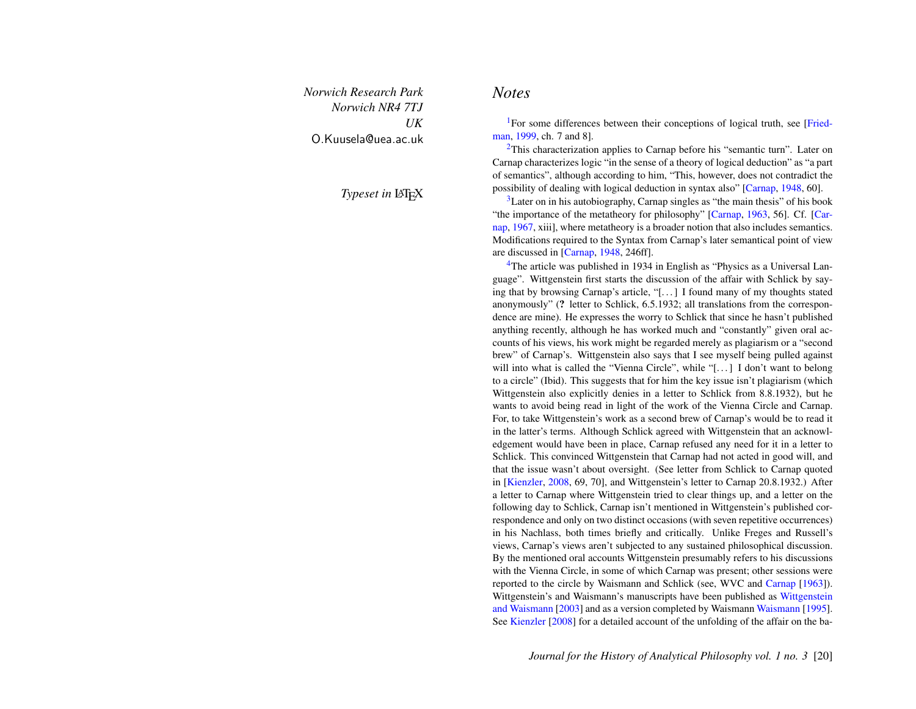*Norwich Research Park Norwich NR4 7TJ UK* O.Kuusela@uea.ac.uk

**Typeset in LATEX** 

#### *Notes*

<span id="page-20-0"></span><sup>[1](#page-2-0)</sup>For some differences between their conceptions of logical truth, see [\[Fried](#page-24-6)[man,](#page-24-6) [1999,](#page-24-6) ch. 7 and 8].

<span id="page-20-1"></span> $2$ This characterization applies to Carnap before his "semantic turn". Later on Carnap characterizes logic "in the sense of a theory of logical deduction" as "a part of semantics", although according to him, "This, however, does not contradict the possibility of dealing with logical deduction in syntax also" [\[Carnap,](#page-24-10) [1948,](#page-24-10) 60].

<span id="page-20-2"></span> $3$ Later on in his autobiography, Carnap singles as "the main thesis" of his book "the importance of the metatheory for philosophy" [\[Carnap,](#page-24-0) [1963,](#page-24-0) 56]. Cf. [\[Car](#page-24-1)[nap,](#page-24-1) [1967,](#page-24-1) xiii], where metatheory is a broader notion that also includes semantics. Modifications required to the Syntax from Carnap's later semantical point of view are discussed in [\[Carnap,](#page-24-10) [1948,](#page-24-10) 246ff].

<span id="page-20-3"></span><sup>[4](#page-4-0)</sup>The article was published in 1934 in English as "Physics as a Universal Language". Wittgenstein first starts the discussion of the affair with Schlick by saying that by browsing Carnap's article, "[. . . ] I found many of my thoughts stated anonymously" (? letter to Schlick, 6.5.1932; all translations from the correspondence are mine). He expresses the worry to Schlick that since he hasn't published anything recently, although he has worked much and "constantly" given oral accounts of his views, his work might be regarded merely as plagiarism or a "second brew" of Carnap's. Wittgenstein also says that I see myself being pulled against will into what is called the "Vienna Circle", while "[...] I don't want to belong to a circle" (Ibid). This suggests that for him the key issue isn't plagiarism (which Wittgenstein also explicitly denies in a letter to Schlick from 8.8.1932), but he wants to avoid being read in light of the work of the Vienna Circle and Carnap. For, to take Wittgenstein's work as a second brew of Carnap's would be to read it in the latter's terms. Although Schlick agreed with Wittgenstein that an acknowledgement would have been in place, Carnap refused any need for it in a letter to Schlick. This convinced Wittgenstein that Carnap had not acted in good will, and that the issue wasn't about oversight. (See letter from Schlick to Carnap quoted in [\[Kienzler,](#page-24-11) [2008,](#page-24-11) 69, 70], and Wittgenstein's letter to Carnap 20.8.1932.) After a letter to Carnap where Wittgenstein tried to clear things up, and a letter on the following day to Schlick, Carnap isn't mentioned in Wittgenstein's published correspondence and only on two distinct occasions (with seven repetitive occurrences) in his Nachlass, both times briefly and critically. Unlike Freges and Russell's views, Carnap's views aren't subjected to any sustained philosophical discussion. By the mentioned oral accounts Wittgenstein presumably refers to his discussions with the Vienna Circle, in some of which Carnap was present; other sessions were reported to the circle by Waismann and Schlick (see, WVC and [Carnap](#page-24-0) [\[1963\]](#page-24-0)). [Wittgenstein](#page-25-2)'s and Waismann's manuscripts have been published as Wittgenstein [and Waismann](#page-25-2) [\[2003\]](#page-25-2) and as a version completed by Waismann [Waismann](#page-24-12) [\[1995\]](#page-24-12). See [Kienzler](#page-24-11) [\[2008\]](#page-24-11) for a detailed account of the unfolding of the affair on the ba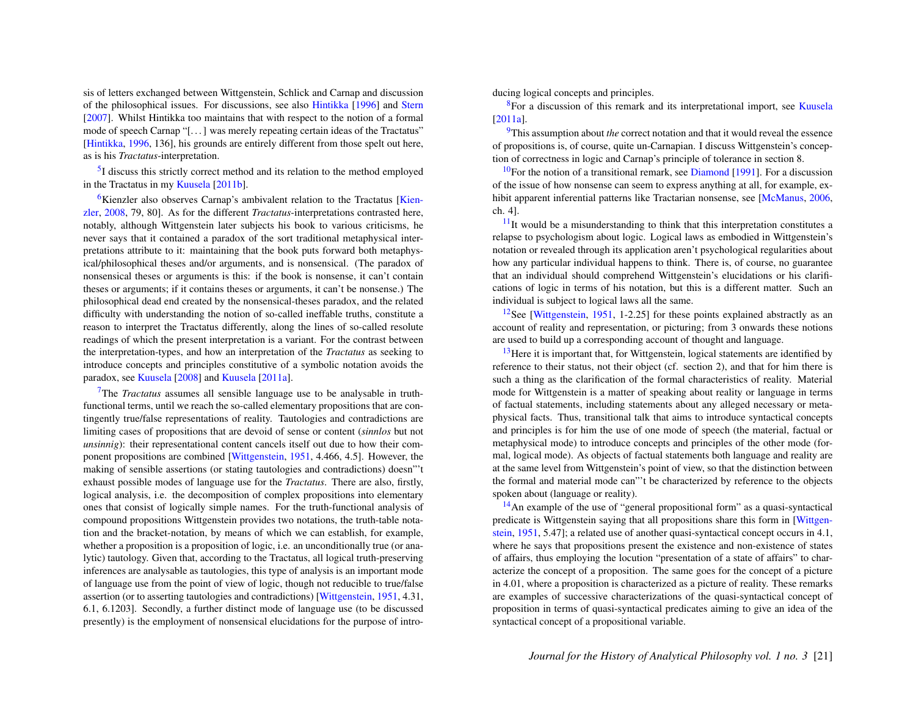sis of letters exchanged between Wittgenstein, Schlick and Carnap and discussion of the philosophical issues. For discussions, see also [Hintikka](#page-24-13) [\[1996\]](#page-24-13) and [Stern](#page-24-14) [\[2007\]](#page-24-14). Whilst Hintikka too maintains that with respect to the notion of a formal mode of speech Carnap "[. . . ] was merely repeating certain ideas of the Tractatus" [\[Hintikka,](#page-24-13) [1996,](#page-24-13) 136], his grounds are entirely different from those spelt out here, as is his *Tractatus*-interpretation.

<span id="page-21-0"></span><sup>[5](#page-5-0)</sup>I discuss this strictly correct method and its relation to the method employed in the Tractatus in my [Kuusela](#page-24-15) [\[2011b\]](#page-24-15).

<span id="page-21-1"></span> $6$ Kienzler also observes Carnap's ambivalent relation to the Tractatus [\[Kien](#page-24-11)[zler,](#page-24-11) [2008,](#page-24-11) 79, 80]. As for the different *Tractatus*-interpretations contrasted here, notably, although Wittgenstein later subjects his book to various criticisms, he never says that it contained a paradox of the sort traditional metaphysical interpretations attribute to it: maintaining that the book puts forward both metaphysical/philosophical theses and/or arguments, and is nonsensical. (The paradox of nonsensical theses or arguments is this: if the book is nonsense, it can't contain theses or arguments; if it contains theses or arguments, it can't be nonsense.) The philosophical dead end created by the nonsensical-theses paradox, and the related difficulty with understanding the notion of so-called ineffable truths, constitute a reason to interpret the Tractatus differently, along the lines of so-called resolute readings of which the present interpretation is a variant. For the contrast between the interpretation-types, and how an interpretation of the *Tractatus* as seeking to introduce concepts and principles constitutive of a symbolic notation avoids the paradox, see [Kuusela](#page-24-16) [\[2008\]](#page-24-16) and [Kuusela](#page-24-17) [\[2011a\]](#page-24-17).

<span id="page-21-2"></span>[7](#page-7-0)The *Tractatus* assumes all sensible language use to be analysable in truthfunctional terms, until we reach the so-called elementary propositions that are contingently true/false representations of reality. Tautologies and contradictions are limiting cases of propositions that are devoid of sense or content (*sinnlos* but not *unsinnig*): their representational content cancels itself out due to how their component propositions are combined [\[Wittgenstein,](#page-24-2) [1951,](#page-24-2) 4.466, 4.5]. However, the making of sensible assertions (or stating tautologies and contradictions) doesn"'t exhaust possible modes of language use for the *Tractatus*. There are also, firstly, logical analysis, i.e. the decomposition of complex propositions into elementary ones that consist of logically simple names. For the truth-functional analysis of compound propositions Wittgenstein provides two notations, the truth-table notation and the bracket-notation, by means of which we can establish, for example, whether a proposition is a proposition of logic, *i.e.* an unconditionally true (or analytic) tautology. Given that, according to the Tractatus, all logical truth-preserving inferences are analysable as tautologies, this type of analysis is an important mode of language use from the point of view of logic, though not reducible to true/false assertion (or to asserting tautologies and contradictions) [\[Wittgenstein,](#page-24-2) [1951,](#page-24-2) 4.31, 6.1, 6.1203]. Secondly, a further distinct mode of language use (to be discussed presently) is the employment of nonsensical elucidations for the purpose of intro<span id="page-21-3"></span>ducing logical concepts and principles.

<sup>[8](#page-8-0)</sup>For a discussion of this remark and its interpretational import, see [Kuusela](#page-24-17) [\[2011a\]](#page-24-17).

<span id="page-21-4"></span>[9](#page-8-1)This assumption about *the* correct notation and that it would reveal the essence of propositions is, of course, quite un-Carnapian. I discuss Wittgenstein's conception of correctness in logic and Carnap's principle of tolerance in section 8.

<span id="page-21-5"></span> $10$ For the notion of a transitional remark, see [Diamond](#page-24-18) [\[1991\]](#page-24-18). For a discussion of the issue of how nonsense can seem to express anything at all, for example, ex-hibit apparent inferential patterns like Tractarian nonsense, see [\[McManus,](#page-24-19) [2006,](#page-24-19) ch. 4].

<span id="page-21-6"></span> $11$ It would be a misunderstanding to think that this interpretation constitutes a relapse to psychologism about logic. Logical laws as embodied in Wittgenstein's notation or revealed through its application aren't psychological regularities about how any particular individual happens to think. There is, of course, no guarantee that an individual should comprehend Wittgenstein's elucidations or his clarifications of logic in terms of his notation, but this is a different matter. Such an individual is subject to logical laws all the same.

<span id="page-21-7"></span> $12$ See [\[Wittgenstein,](#page-24-2) [1951,](#page-24-2) 1-2.25] for these points explained abstractly as an account of reality and representation, or picturing; from 3 onwards these notions are used to build up a corresponding account of thought and language.

<span id="page-21-8"></span> $13$  Here it is important that, for Wittgenstein, logical statements are identified by reference to their status, not their object (cf. section 2), and that for him there is such a thing as the clarification of the formal characteristics of reality. Material mode for Wittgenstein is a matter of speaking about reality or language in terms of factual statements, including statements about any alleged necessary or metaphysical facts. Thus, transitional talk that aims to introduce syntactical concepts and principles is for him the use of one mode of speech (the material, factual or metaphysical mode) to introduce concepts and principles of the other mode (formal, logical mode). As objects of factual statements both language and reality are at the same level from Wittgenstein's point of view, so that the distinction between the formal and material mode can"'t be characterized by reference to the objects spoken about (language or reality).

<span id="page-21-9"></span> $14$ An example of the use of "general propositional form" as a quasi-syntactical predicate is Wittgenstein saying that all propositions share this form in [\[Wittgen](#page-24-2)[stein,](#page-24-2) [1951,](#page-24-2) 5.47]; a related use of another quasi-syntactical concept occurs in 4.1, where he says that propositions present the existence and non-existence of states of affairs, thus employing the locution "presentation of a state of affairs" to characterize the concept of a proposition. The same goes for the concept of a picture in 4.01, where a proposition is characterized as a picture of reality. These remarks are examples of successive characterizations of the quasi-syntactical concept of proposition in terms of quasi-syntactical predicates aiming to give an idea of the syntactical concept of a propositional variable.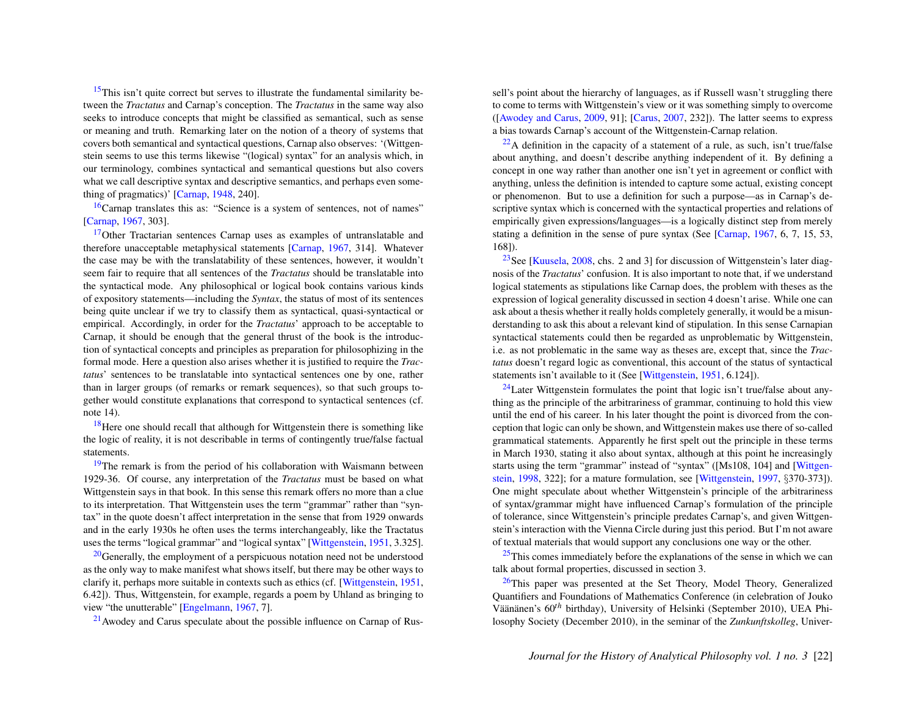<span id="page-22-0"></span> $15$ This isn't quite correct but serves to illustrate the fundamental similarity between the *Tractatus* and Carnap's conception. The *Tractatus* in the same way also seeks to introduce concepts that might be classified as semantical, such as sense or meaning and truth. Remarking later on the notion of a theory of systems that covers both semantical and syntactical questions, Carnap also observes: '(Wittgenstein seems to use this terms likewise "(logical) syntax" for an analysis which, in our terminology, combines syntactical and semantical questions but also covers what we call descriptive syntax and descriptive semantics, and perhaps even something of pragmatics)' [\[Carnap,](#page-24-10) [1948,](#page-24-10) 240].

<span id="page-22-1"></span>[16](#page-12-1)Carnap translates this as: "Science is a system of sentences, not of names" [\[Carnap,](#page-24-1) [1967,](#page-24-1) 303].

<span id="page-22-2"></span> $17$ Other Tractarian sentences Carnap uses as examples of untranslatable and therefore unacceptable metaphysical statements [\[Carnap,](#page-24-1) [1967,](#page-24-1) 314]. Whatever the case may be with the translatability of these sentences, however, it wouldn't seem fair to require that all sentences of the *Tractatus* should be translatable into the syntactical mode. Any philosophical or logical book contains various kinds of expository statements—including the *Syntax*, the status of most of its sentences being quite unclear if we try to classify them as syntactical, quasi-syntactical or empirical. Accordingly, in order for the *Tractatus*' approach to be acceptable to Carnap, it should be enough that the general thrust of the book is the introduction of syntactical concepts and principles as preparation for philosophizing in the formal mode. Here a question also arises whether it is justified to require the *Tractatus*' sentences to be translatable into syntactical sentences one by one, rather than in larger groups (of remarks or remark sequences), so that such groups together would constitute explanations that correspond to syntactical sentences (cf. note 14).

<span id="page-22-3"></span> $18$  Here one should recall that although for Wittgenstein there is something like the logic of reality, it is not describable in terms of contingently true/false factual statements.

<span id="page-22-4"></span><sup>[19](#page-15-0)</sup>The remark is from the period of his collaboration with Waismann between 1929-36. Of course, any interpretation of the *Tractatus* must be based on what Wittgenstein says in that book. In this sense this remark offers no more than a clue to its interpretation. That Wittgenstein uses the term "grammar" rather than "syntax" in the quote doesn't affect interpretation in the sense that from 1929 onwards and in the early 1930s he often uses the terms interchangeably, like the Tractatus uses the terms "logical grammar" and "logical syntax" [\[Wittgenstein,](#page-24-2) [1951,](#page-24-2) 3.325].

<span id="page-22-5"></span> $20$ Generally, the employment of a perspicuous notation need not be understood as the only way to make manifest what shows itself, but there may be other ways to clarify it, perhaps more suitable in contexts such as ethics (cf. [\[Wittgenstein,](#page-24-2) [1951,](#page-24-2) 6.42]). Thus, Wittgenstein, for example, regards a poem by Uhland as bringing to view "the unutterable" [\[Engelmann,](#page-24-20) [1967,](#page-24-20) 7].

<span id="page-22-6"></span> $21$  Awodey and Carus speculate about the possible influence on Carnap of Rus-

sell's point about the hierarchy of languages, as if Russell wasn't struggling there to come to terms with Wittgenstein's view or it was something simply to overcome ([\[Awodey and Carus,](#page-24-4) [2009,](#page-24-4) 91]; [\[Carus,](#page-24-8) [2007,](#page-24-8) 232]). The latter seems to express a bias towards Carnap's account of the Wittgenstein-Carnap relation.

<span id="page-22-7"></span> $22A$  $22A$  definition in the capacity of a statement of a rule, as such, isn't true/false about anything, and doesn't describe anything independent of it. By defining a concept in one way rather than another one isn't yet in agreement or conflict with anything, unless the definition is intended to capture some actual, existing concept or phenomenon. But to use a definition for such a purpose—as in Carnap's descriptive syntax which is concerned with the syntactical properties and relations of empirically given expressions/languages—is a logically distinct step from merely stating a definition in the sense of pure syntax (See [\[Carnap,](#page-24-1) [1967,](#page-24-1) 6, 7, 15, 53, 168]).

<span id="page-22-8"></span><sup>[23](#page-18-0)</sup>See [\[Kuusela,](#page-24-16) [2008,](#page-24-16) chs. 2 and 3] for discussion of Wittgenstein's later diagnosis of the *Tractatus*' confusion. It is also important to note that, if we understand logical statements as stipulations like Carnap does, the problem with theses as the expression of logical generality discussed in section 4 doesn't arise. While one can ask about a thesis whether it really holds completely generally, it would be a misunderstanding to ask this about a relevant kind of stipulation. In this sense Carnapian syntactical statements could then be regarded as unproblematic by Wittgenstein, i.e. as not problematic in the same way as theses are, except that, since the *Tractatus* doesn't regard logic as conventional, this account of the status of syntactical statements isn't available to it (See [\[Wittgenstein,](#page-24-2) [1951,](#page-24-2) 6.124]).

<span id="page-22-9"></span> $^{24}$  $^{24}$  $^{24}$ Later Wittgenstein formulates the point that logic isn't true/false about anything as the principle of the arbitrariness of grammar, continuing to hold this view until the end of his career. In his later thought the point is divorced from the conception that logic can only be shown, and Wittgenstein makes use there of so-called grammatical statements. Apparently he first spelt out the principle in these terms in March 1930, stating it also about syntax, although at this point he increasingly starts using the term "grammar" instead of "syntax" ([Ms108, 104] and [\[Wittgen](#page-25-3)[stein,](#page-25-3) [1998,](#page-25-3) 322]; for a mature formulation, see [\[Wittgenstein,](#page-25-4) [1997,](#page-25-4) §370-373]). One might speculate about whether Wittgenstein's principle of the arbitrariness of syntax/grammar might have influenced Carnap's formulation of the principle of tolerance, since Wittgenstein's principle predates Carnap's, and given Wittgenstein's interaction with the Vienna Circle during just this period. But I'm not aware of textual materials that would support any conclusions one way or the other.

<span id="page-22-10"></span> $25$ This comes immediately before the explanations of the sense in which we can talk about formal properties, discussed in section 3.

<span id="page-22-11"></span> $26$ This paper was presented at the Set Theory, Model Theory, Generalized Quantifiers and Foundations of Mathematics Conference (in celebration of Jouko Väänänen's 60<sup>th</sup> birthday), University of Helsinki (September 2010), UEA Philosophy Society (December 2010), in the seminar of the *Zunkunftskolleg*, Univer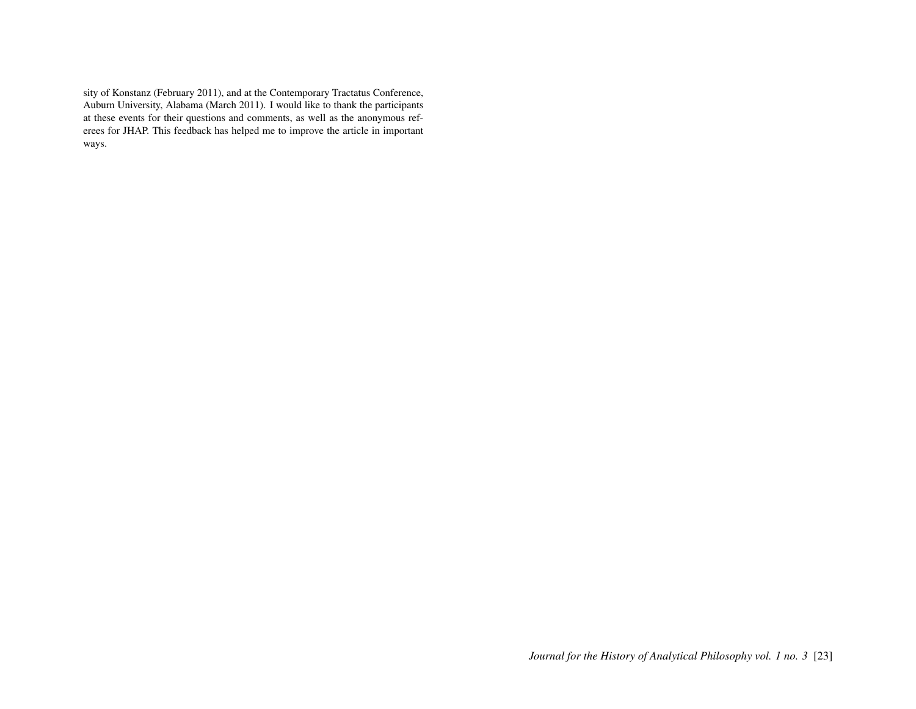sity of Konstanz (February 2011), and at the Contemporary Tractatus Conference, Auburn University, Alabama (March 2011). I would like to thank the participants at these events for their questions and comments, as well as the anonymous referees for JHAP. This feedback has helped me to improve the article in important ways.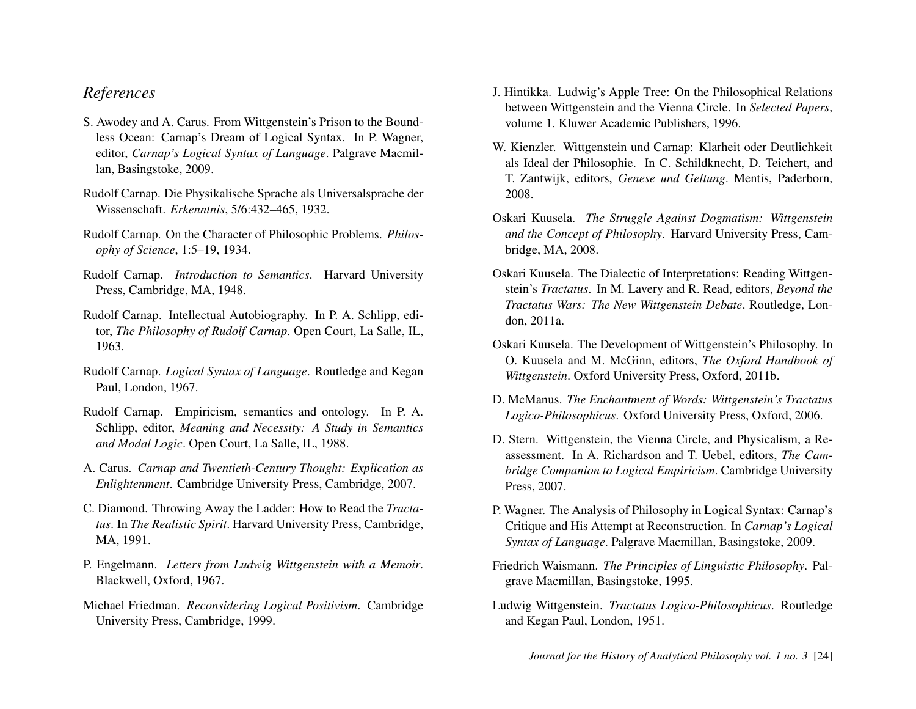## *References*

- <span id="page-24-4"></span>S. Awodey and A. Carus. From Wittgenstein's Prison to the Boundless Ocean: Carnap's Dream of Logical Syntax. In P. Wagner, editor, *Carnap's Logical Syntax of Language*. Palgrave Macmillan, Basingstoke, 2009.
- <span id="page-24-7"></span>Rudolf Carnap. Die Physikalische Sprache als Universalsprache der Wissenschaft. *Erkenntnis*, 5/6:432–465, 1932.
- <span id="page-24-3"></span>Rudolf Carnap. On the Character of Philosophic Problems. *Philosophy of Science*, 1:5–19, 1934.
- <span id="page-24-10"></span>Rudolf Carnap. *Introduction to Semantics*. Harvard University Press, Cambridge, MA, 1948.
- <span id="page-24-0"></span>Rudolf Carnap. Intellectual Autobiography. In P. A. Schlipp, editor, *The Philosophy of Rudolf Carnap*. Open Court, La Salle, IL, 1963.
- <span id="page-24-1"></span>Rudolf Carnap. *Logical Syntax of Language*. Routledge and Kegan Paul, London, 1967.
- <span id="page-24-9"></span>Rudolf Carnap. Empiricism, semantics and ontology. In P. A. Schlipp, editor, *Meaning and Necessity: A Study in Semantics and Modal Logic*. Open Court, La Salle, IL, 1988.
- <span id="page-24-8"></span>A. Carus. *Carnap and Twentieth-Century Thought: Explication as Enlightenment*. Cambridge University Press, Cambridge, 2007.
- <span id="page-24-18"></span>C. Diamond. Throwing Away the Ladder: How to Read the *Tractatus*. In *The Realistic Spirit*. Harvard University Press, Cambridge, MA, 1991.
- <span id="page-24-20"></span>P. Engelmann. *Letters from Ludwig Wittgenstein with a Memoir*. Blackwell, Oxford, 1967.
- <span id="page-24-6"></span>Michael Friedman. *Reconsidering Logical Positivism*. Cambridge University Press, Cambridge, 1999.
- <span id="page-24-13"></span>J. Hintikka. Ludwig's Apple Tree: On the Philosophical Relations between Wittgenstein and the Vienna Circle. In *Selected Papers*, volume 1. Kluwer Academic Publishers, 1996.
- <span id="page-24-11"></span>W. Kienzler. Wittgenstein und Carnap: Klarheit oder Deutlichkeit als Ideal der Philosophie. In C. Schildknecht, D. Teichert, and T. Zantwijk, editors, *Genese und Geltung*. Mentis, Paderborn, 2008.
- <span id="page-24-16"></span>Oskari Kuusela. *The Struggle Against Dogmatism: Wittgenstein and the Concept of Philosophy*. Harvard University Press, Cambridge, MA, 2008.
- <span id="page-24-17"></span>Oskari Kuusela. The Dialectic of Interpretations: Reading Wittgenstein's *Tractatus*. In M. Lavery and R. Read, editors, *Beyond the Tractatus Wars: The New Wittgenstein Debate*. Routledge, London, 2011a.
- <span id="page-24-15"></span>Oskari Kuusela. The Development of Wittgenstein's Philosophy. In O. Kuusela and M. McGinn, editors, *The Oxford Handbook of Wittgenstein*. Oxford University Press, Oxford, 2011b.
- <span id="page-24-19"></span>D. McManus. *The Enchantment of Words: Wittgenstein's Tractatus Logico-Philosophicus*. Oxford University Press, Oxford, 2006.
- <span id="page-24-14"></span>D. Stern. Wittgenstein, the Vienna Circle, and Physicalism, a Reassessment. In A. Richardson and T. Uebel, editors, *The Cambridge Companion to Logical Empiricism*. Cambridge University Press, 2007.
- <span id="page-24-5"></span>P. Wagner. The Analysis of Philosophy in Logical Syntax: Carnap's Critique and His Attempt at Reconstruction. In *Carnap's Logical Syntax of Language*. Palgrave Macmillan, Basingstoke, 2009.
- <span id="page-24-12"></span>Friedrich Waismann. *The Principles of Linguistic Philosophy*. Palgrave Macmillan, Basingstoke, 1995.
- <span id="page-24-2"></span>Ludwig Wittgenstein. *Tractatus Logico-Philosophicus*. Routledge and Kegan Paul, London, 1951.